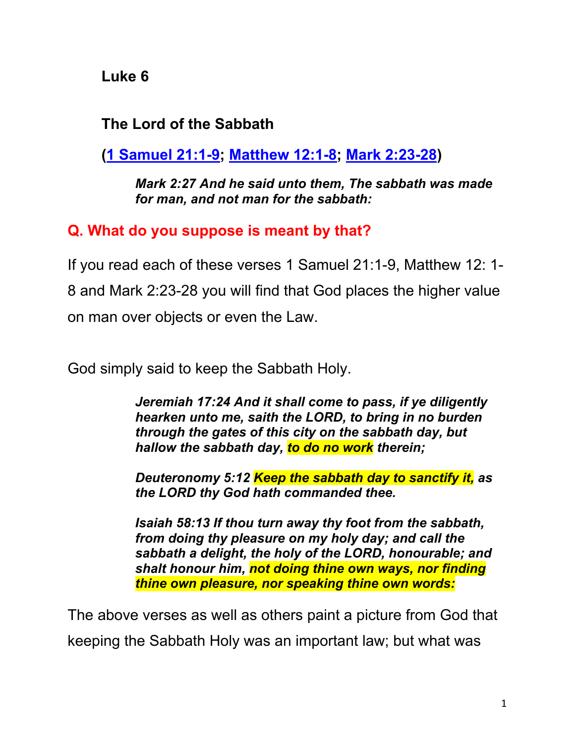**Luke 6**

### **The Lord of the Sabbath**

**(1 Samuel 21:1-9; Matthew 12:1-8; Mark 2:23-28)**

*Mark 2:27 And he said unto them, The sabbath was made for man, and not man for the sabbath:*

#### **Q. What do you suppose is meant by that?**

If you read each of these verses 1 Samuel 21:1-9, Matthew 12: 1- 8 and Mark 2:23-28 you will find that God places the higher value on man over objects or even the Law.

God simply said to keep the Sabbath Holy.

*Jeremiah 17:24 And it shall come to pass, if ye diligently hearken unto me, saith the LORD, to bring in no burden through the gates of this city on the sabbath day, but hallow the sabbath day, to do no work therein;*

*Deuteronomy 5:12 Keep the sabbath day to sanctify it, as the LORD thy God hath commanded thee.*

*Isaiah 58:13 If thou turn away thy foot from the sabbath, from doing thy pleasure on my holy day; and call the sabbath a delight, the holy of the LORD, honourable; and shalt honour him, not doing thine own ways, nor finding thine own pleasure, nor speaking thine own words:*

The above verses as well as others paint a picture from God that

keeping the Sabbath Holy was an important law; but what was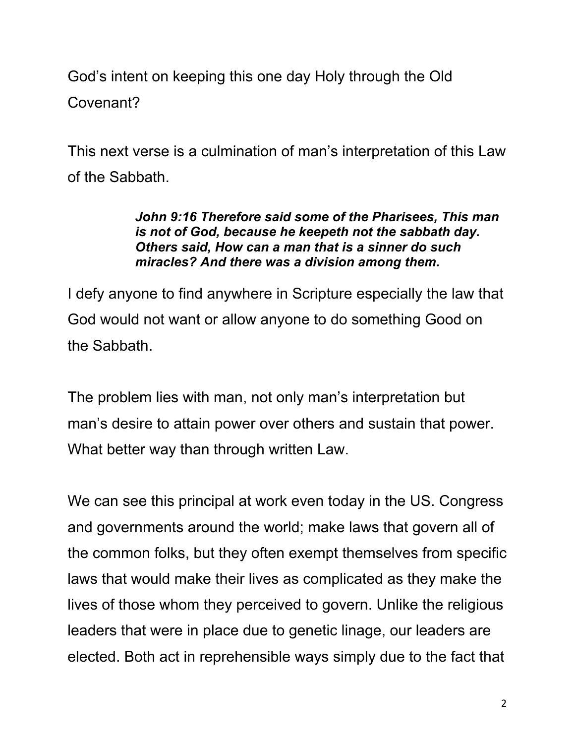God's intent on keeping this one day Holy through the Old Covenant?

This next verse is a culmination of man's interpretation of this Law of the Sabbath.

#### *John 9:16 Therefore said some of the Pharisees, This man is not of God, because he keepeth not the sabbath day. Others said, How can a man that is a sinner do such miracles? And there was a division among them.*

I defy anyone to find anywhere in Scripture especially the law that God would not want or allow anyone to do something Good on the Sabbath.

The problem lies with man, not only man's interpretation but man's desire to attain power over others and sustain that power. What better way than through written Law.

We can see this principal at work even today in the US. Congress and governments around the world; make laws that govern all of the common folks, but they often exempt themselves from specific laws that would make their lives as complicated as they make the lives of those whom they perceived to govern. Unlike the religious leaders that were in place due to genetic linage, our leaders are elected. Both act in reprehensible ways simply due to the fact that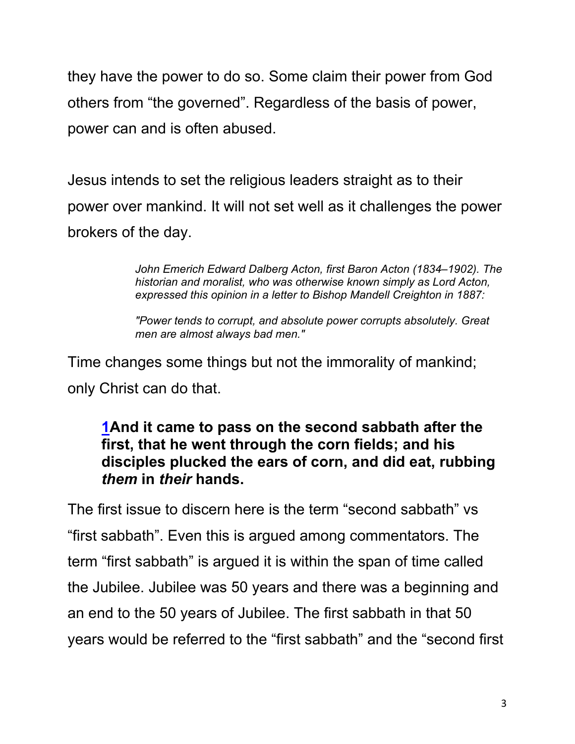they have the power to do so. Some claim their power from God others from "the governed". Regardless of the basis of power, power can and is often abused.

Jesus intends to set the religious leaders straight as to their power over mankind. It will not set well as it challenges the power brokers of the day.

> *John Emerich Edward Dalberg Acton, first Baron Acton (1834–1902). The historian and moralist, who was otherwise known simply as Lord Acton, expressed this opinion in a letter to Bishop Mandell Creighton in 1887:*

*"Power tends to corrupt, and absolute power corrupts absolutely. Great men are almost always bad men."*

Time changes some things but not the immorality of mankind; only Christ can do that.

#### **1And it came to pass on the second sabbath after the first, that he went through the corn fields; and his disciples plucked the ears of corn, and did eat, rubbing**  *them* **in** *their* **hands.**

The first issue to discern here is the term "second sabbath" vs "first sabbath". Even this is argued among commentators. The term "first sabbath" is argued it is within the span of time called the Jubilee. Jubilee was 50 years and there was a beginning and an end to the 50 years of Jubilee. The first sabbath in that 50 years would be referred to the "first sabbath" and the "second first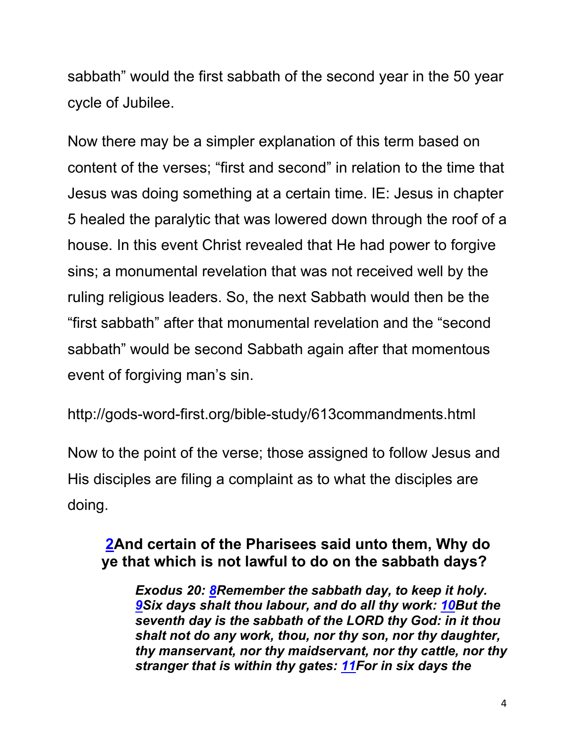sabbath" would the first sabbath of the second year in the 50 year cycle of Jubilee.

Now there may be a simpler explanation of this term based on content of the verses; "first and second" in relation to the time that Jesus was doing something at a certain time. IE: Jesus in chapter 5 healed the paralytic that was lowered down through the roof of a house. In this event Christ revealed that He had power to forgive sins; a monumental revelation that was not received well by the ruling religious leaders. So, the next Sabbath would then be the "first sabbath" after that monumental revelation and the "second sabbath" would be second Sabbath again after that momentous event of forgiving man's sin.

http://gods-word-first.org/bible-study/613commandments.html

Now to the point of the verse; those assigned to follow Jesus and His disciples are filing a complaint as to what the disciples are doing.

### **2And certain of the Pharisees said unto them, Why do ye that which is not lawful to do on the sabbath days?**

*Exodus 20: 8Remember the sabbath day, to keep it holy. 9Six days shalt thou labour, and do all thy work: 10But the seventh day is the sabbath of the LORD thy God: in it thou shalt not do any work, thou, nor thy son, nor thy daughter, thy manservant, nor thy maidservant, nor thy cattle, nor thy stranger that is within thy gates: 11For in six days the*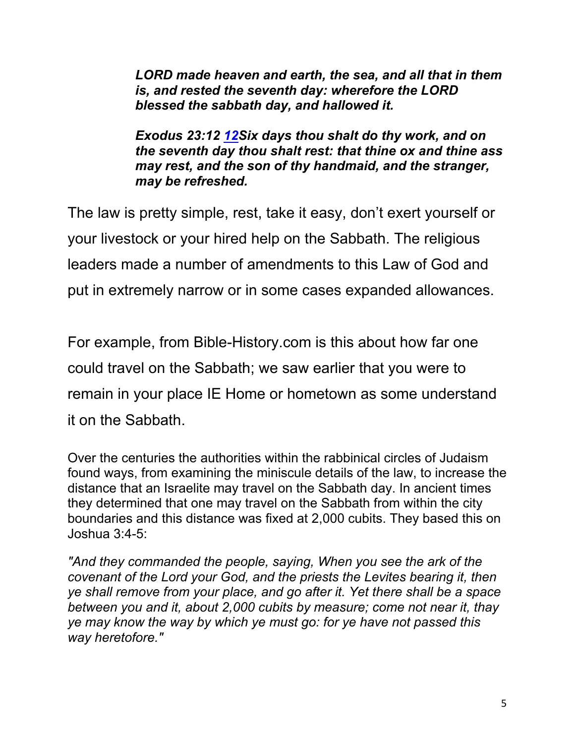*LORD made heaven and earth, the sea, and all that in them is, and rested the seventh day: wherefore the LORD blessed the sabbath day, and hallowed it.*

*Exodus 23:12 12Six days thou shalt do thy work, and on the seventh day thou shalt rest: that thine ox and thine ass may rest, and the son of thy handmaid, and the stranger, may be refreshed.* 

The law is pretty simple, rest, take it easy, don't exert yourself or your livestock or your hired help on the Sabbath. The religious leaders made a number of amendments to this Law of God and put in extremely narrow or in some cases expanded allowances.

For example, from Bible-History.com is this about how far one could travel on the Sabbath; we saw earlier that you were to remain in your place IE Home or hometown as some understand it on the Sabbath.

Over the centuries the authorities within the rabbinical circles of Judaism found ways, from examining the miniscule details of the law, to increase the distance that an Israelite may travel on the Sabbath day. In ancient times they determined that one may travel on the Sabbath from within the city boundaries and this distance was fixed at 2,000 cubits. They based this on Joshua 3:4-5:

*"And they commanded the people, saying, When you see the ark of the covenant of the Lord your God, and the priests the Levites bearing it, then ye shall remove from your place, and go after it. Yet there shall be a space between you and it, about 2,000 cubits by measure; come not near it, thay ye may know the way by which ye must go: for ye have not passed this way heretofore."*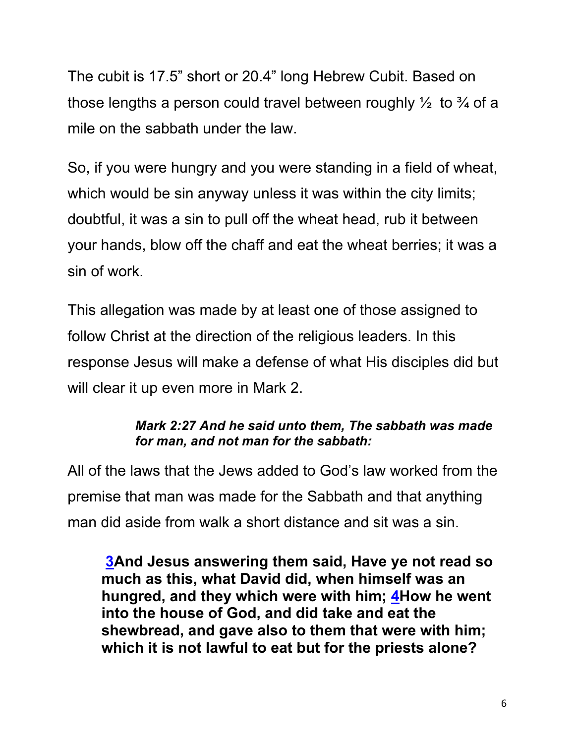The cubit is 17.5" short or 20.4" long Hebrew Cubit. Based on those lengths a person could travel between roughly  $\frac{1}{2}$  to  $\frac{3}{4}$  of a mile on the sabbath under the law.

So, if you were hungry and you were standing in a field of wheat, which would be sin anyway unless it was within the city limits; doubtful, it was a sin to pull off the wheat head, rub it between your hands, blow off the chaff and eat the wheat berries; it was a sin of work.

This allegation was made by at least one of those assigned to follow Christ at the direction of the religious leaders. In this response Jesus will make a defense of what His disciples did but will clear it up even more in Mark 2.

#### *Mark 2:27 And he said unto them, The sabbath was made for man, and not man for the sabbath:*

All of the laws that the Jews added to God's law worked from the premise that man was made for the Sabbath and that anything man did aside from walk a short distance and sit was a sin.

**3And Jesus answering them said, Have ye not read so much as this, what David did, when himself was an hungred, and they which were with him; 4How he went into the house of God, and did take and eat the shewbread, and gave also to them that were with him; which it is not lawful to eat but for the priests alone?**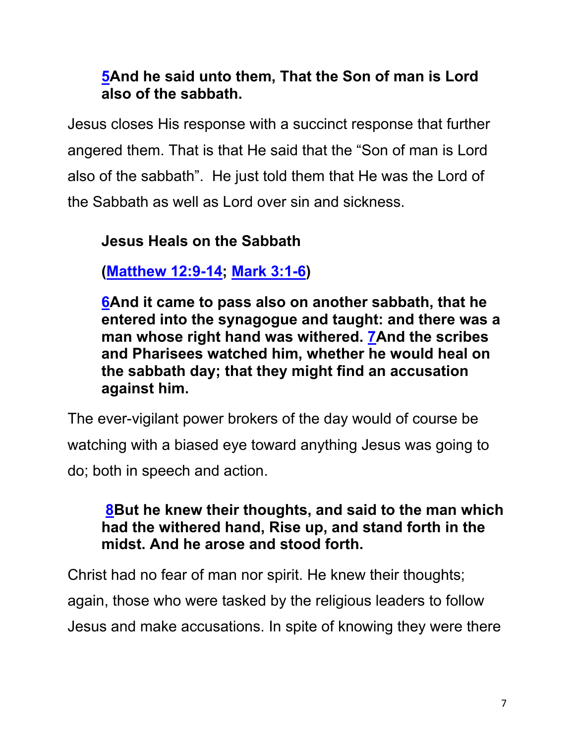## **5And he said unto them, That the Son of man is Lord also of the sabbath.**

Jesus closes His response with a succinct response that further angered them. That is that He said that the "Son of man is Lord also of the sabbath". He just told them that He was the Lord of the Sabbath as well as Lord over sin and sickness.

## **Jesus Heals on the Sabbath**

**(Matthew 12:9-14; Mark 3:1-6)**

**6And it came to pass also on another sabbath, that he entered into the synagogue and taught: and there was a man whose right hand was withered. 7And the scribes and Pharisees watched him, whether he would heal on the sabbath day; that they might find an accusation against him.**

The ever-vigilant power brokers of the day would of course be watching with a biased eye toward anything Jesus was going to do; both in speech and action.

## **8But he knew their thoughts, and said to the man which had the withered hand, Rise up, and stand forth in the midst. And he arose and stood forth.**

Christ had no fear of man nor spirit. He knew their thoughts; again, those who were tasked by the religious leaders to follow Jesus and make accusations. In spite of knowing they were there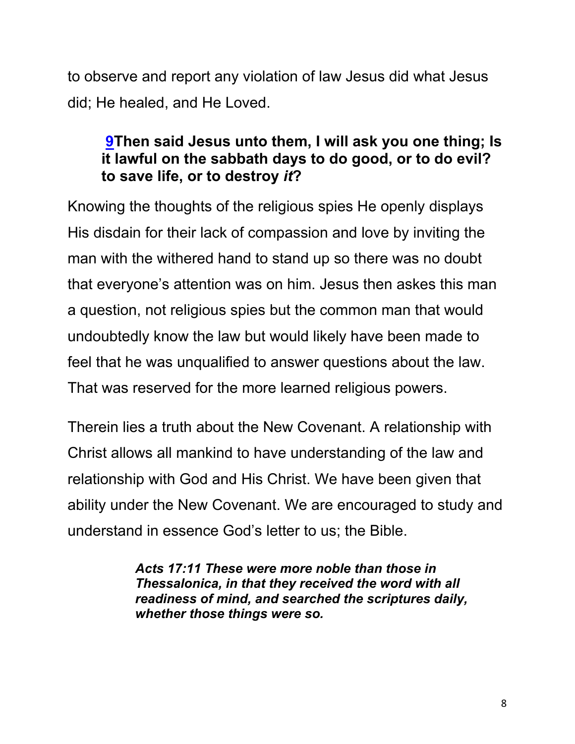to observe and report any violation of law Jesus did what Jesus did; He healed, and He Loved.

#### **9Then said Jesus unto them, I will ask you one thing; Is it lawful on the sabbath days to do good, or to do evil? to save life, or to destroy** *it***?**

Knowing the thoughts of the religious spies He openly displays His disdain for their lack of compassion and love by inviting the man with the withered hand to stand up so there was no doubt that everyone's attention was on him. Jesus then askes this man a question, not religious spies but the common man that would undoubtedly know the law but would likely have been made to feel that he was unqualified to answer questions about the law. That was reserved for the more learned religious powers.

Therein lies a truth about the New Covenant. A relationship with Christ allows all mankind to have understanding of the law and relationship with God and His Christ. We have been given that ability under the New Covenant. We are encouraged to study and understand in essence God's letter to us; the Bible.

> *Acts 17:11 These were more noble than those in Thessalonica, in that they received the word with all readiness of mind, and searched the scriptures daily, whether those things were so.*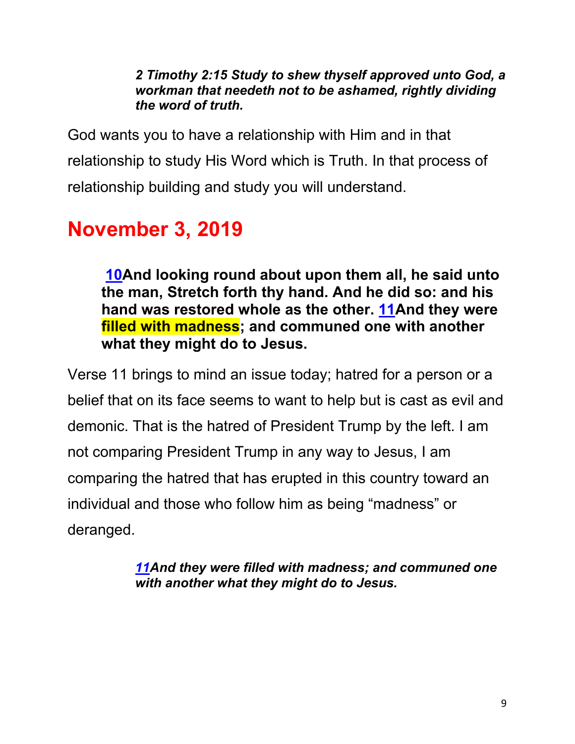*2 Timothy 2:15 Study to shew thyself approved unto God, a workman that needeth not to be ashamed, rightly dividing the word of truth.*

God wants you to have a relationship with Him and in that relationship to study His Word which is Truth. In that process of relationship building and study you will understand.

# **November 3, 2019**

**10And looking round about upon them all, he said unto the man, Stretch forth thy hand. And he did so: and his hand was restored whole as the other. 11And they were filled with madness; and communed one with another what they might do to Jesus.**

Verse 11 brings to mind an issue today; hatred for a person or a belief that on its face seems to want to help but is cast as evil and demonic. That is the hatred of President Trump by the left. I am not comparing President Trump in any way to Jesus, I am comparing the hatred that has erupted in this country toward an individual and those who follow him as being "madness" or deranged.

> *11And they were filled with madness; and communed one with another what they might do to Jesus.*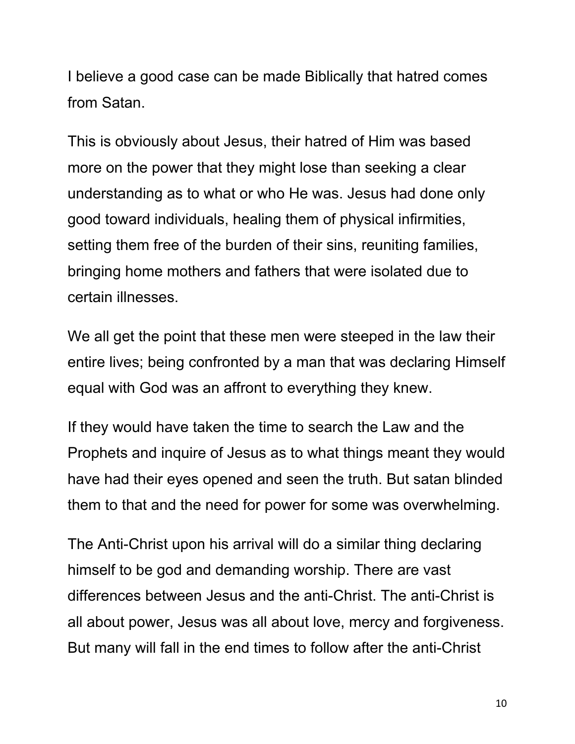I believe a good case can be made Biblically that hatred comes from Satan.

This is obviously about Jesus, their hatred of Him was based more on the power that they might lose than seeking a clear understanding as to what or who He was. Jesus had done only good toward individuals, healing them of physical infirmities, setting them free of the burden of their sins, reuniting families, bringing home mothers and fathers that were isolated due to certain illnesses.

We all get the point that these men were steeped in the law their entire lives; being confronted by a man that was declaring Himself equal with God was an affront to everything they knew.

If they would have taken the time to search the Law and the Prophets and inquire of Jesus as to what things meant they would have had their eyes opened and seen the truth. But satan blinded them to that and the need for power for some was overwhelming.

The Anti-Christ upon his arrival will do a similar thing declaring himself to be god and demanding worship. There are vast differences between Jesus and the anti-Christ. The anti-Christ is all about power, Jesus was all about love, mercy and forgiveness. But many will fall in the end times to follow after the anti-Christ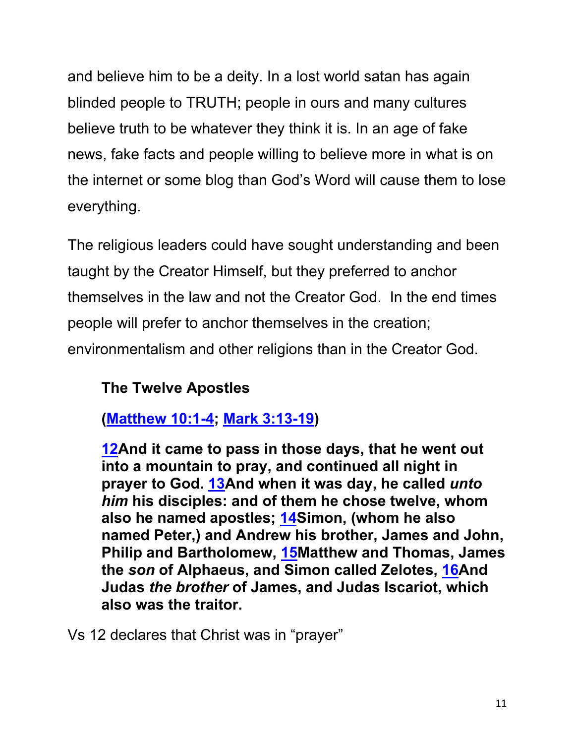and believe him to be a deity. In a lost world satan has again blinded people to TRUTH; people in ours and many cultures believe truth to be whatever they think it is. In an age of fake news, fake facts and people willing to believe more in what is on the internet or some blog than God's Word will cause them to lose everything.

The religious leaders could have sought understanding and been taught by the Creator Himself, but they preferred to anchor themselves in the law and not the Creator God. In the end times people will prefer to anchor themselves in the creation; environmentalism and other religions than in the Creator God.

## **The Twelve Apostles**

**(Matthew 10:1-4; Mark 3:13-19)**

**12And it came to pass in those days, that he went out into a mountain to pray, and continued all night in prayer to God. 13And when it was day, he called** *unto him* **his disciples: and of them he chose twelve, whom also he named apostles; 14Simon, (whom he also named Peter,) and Andrew his brother, James and John, Philip and Bartholomew, 15Matthew and Thomas, James the** *son* **of Alphaeus, and Simon called Zelotes, 16And Judas** *the brother* **of James, and Judas Iscariot, which also was the traitor.**

Vs 12 declares that Christ was in "prayer"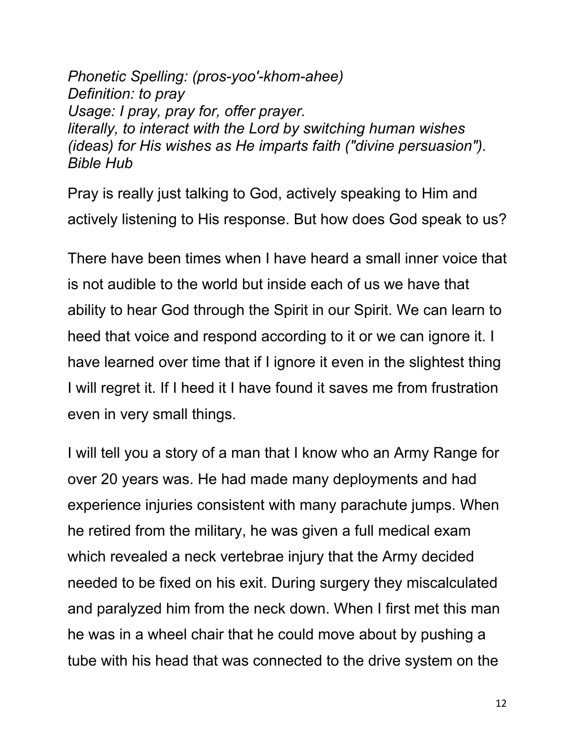*Phonetic Spelling: (pros-yoo'-khom-ahee) Definition: to pray Usage: I pray, pray for, offer prayer. literally, to interact with the Lord by switching human wishes (ideas) for His wishes as He imparts faith ("divine persuasion"). Bible Hub*

Pray is really just talking to God, actively speaking to Him and actively listening to His response. But how does God speak to us?

There have been times when I have heard a small inner voice that is not audible to the world but inside each of us we have that ability to hear God through the Spirit in our Spirit. We can learn to heed that voice and respond according to it or we can ignore it. I have learned over time that if I ignore it even in the slightest thing I will regret it. If I heed it I have found it saves me from frustration even in very small things.

I will tell you a story of a man that I know who an Army Range for over 20 years was. He had made many deployments and had experience injuries consistent with many parachute jumps. When he retired from the military, he was given a full medical exam which revealed a neck vertebrae injury that the Army decided needed to be fixed on his exit. During surgery they miscalculated and paralyzed him from the neck down. When I first met this man he was in a wheel chair that he could move about by pushing a tube with his head that was connected to the drive system on the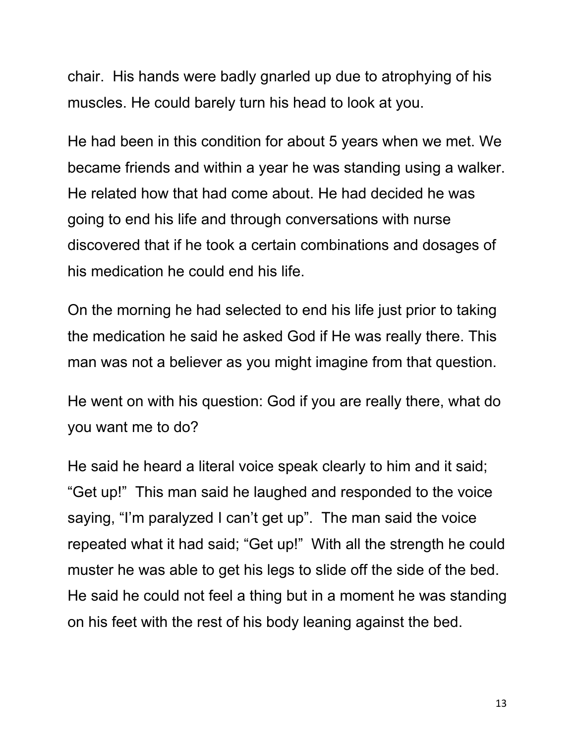chair. His hands were badly gnarled up due to atrophying of his muscles. He could barely turn his head to look at you.

He had been in this condition for about 5 years when we met. We became friends and within a year he was standing using a walker. He related how that had come about. He had decided he was going to end his life and through conversations with nurse discovered that if he took a certain combinations and dosages of his medication he could end his life.

On the morning he had selected to end his life just prior to taking the medication he said he asked God if He was really there. This man was not a believer as you might imagine from that question.

He went on with his question: God if you are really there, what do you want me to do?

He said he heard a literal voice speak clearly to him and it said; "Get up!" This man said he laughed and responded to the voice saying, "I'm paralyzed I can't get up". The man said the voice repeated what it had said; "Get up!" With all the strength he could muster he was able to get his legs to slide off the side of the bed. He said he could not feel a thing but in a moment he was standing on his feet with the rest of his body leaning against the bed.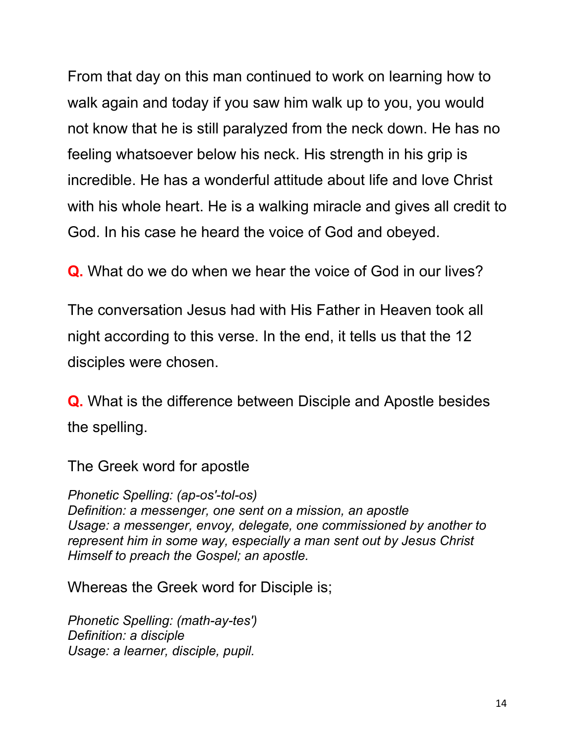From that day on this man continued to work on learning how to walk again and today if you saw him walk up to you, you would not know that he is still paralyzed from the neck down. He has no feeling whatsoever below his neck. His strength in his grip is incredible. He has a wonderful attitude about life and love Christ with his whole heart. He is a walking miracle and gives all credit to God. In his case he heard the voice of God and obeyed.

**Q.** What do we do when we hear the voice of God in our lives?

The conversation Jesus had with His Father in Heaven took all night according to this verse. In the end, it tells us that the 12 disciples were chosen.

**Q.** What is the difference between Disciple and Apostle besides the spelling.

The Greek word for apostle

*Phonetic Spelling: (ap-os'-tol-os) Definition: a messenger, one sent on a mission, an apostle Usage: a messenger, envoy, delegate, one commissioned by another to represent him in some way, especially a man sent out by Jesus Christ Himself to preach the Gospel; an apostle.*

Whereas the Greek word for Disciple is;

*Phonetic Spelling: (math-ay-tes') Definition: a disciple Usage: a learner, disciple, pupil.*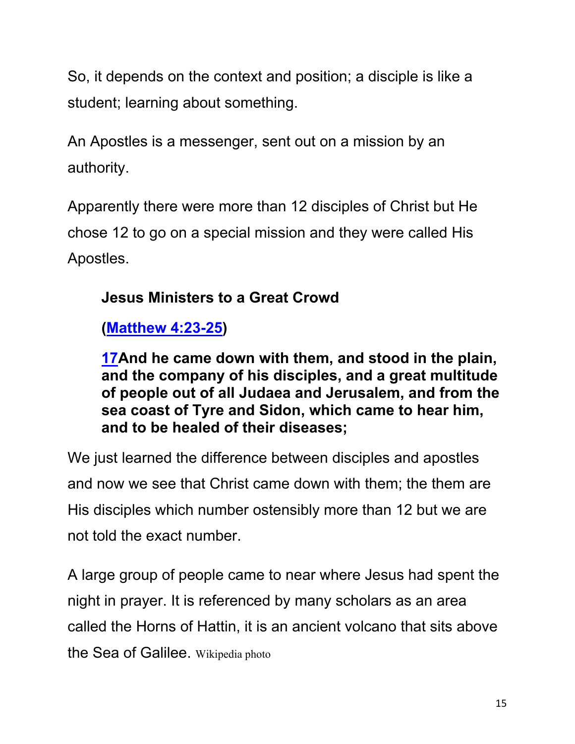So, it depends on the context and position; a disciple is like a student; learning about something.

An Apostles is a messenger, sent out on a mission by an authority.

Apparently there were more than 12 disciples of Christ but He chose 12 to go on a special mission and they were called His Apostles.

# **Jesus Ministers to a Great Crowd**

# **(Matthew 4:23-25)**

**17And he came down with them, and stood in the plain, and the company of his disciples, and a great multitude of people out of all Judaea and Jerusalem, and from the sea coast of Tyre and Sidon, which came to hear him, and to be healed of their diseases;**

We just learned the difference between disciples and apostles and now we see that Christ came down with them; the them are His disciples which number ostensibly more than 12 but we are not told the exact number.

A large group of people came to near where Jesus had spent the night in prayer. It is referenced by many scholars as an area called the Horns of Hattin, it is an ancient volcano that sits above the Sea of Galilee. Wikipedia photo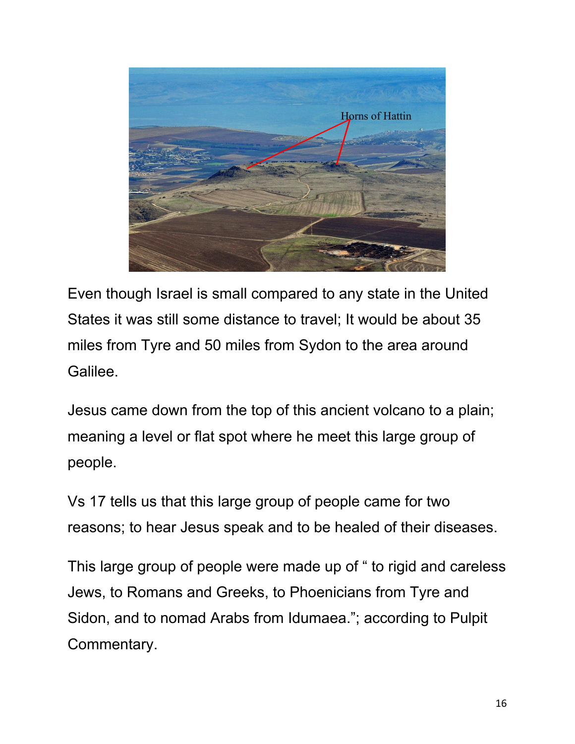

Even though Israel is small compared to any state in the United States it was still some distance to travel; It would be about 35 miles from Tyre and 50 miles from Sydon to the area around Galilee.

Jesus came down from the top of this ancient volcano to a plain; meaning a level or flat spot where he meet this large group of people.

Vs 17 tells us that this large group of people came for two reasons; to hear Jesus speak and to be healed of their diseases.

This large group of people were made up of " to rigid and careless Jews, to Romans and Greeks, to Phoenicians from Tyre and Sidon, and to nomad Arabs from Idumaea."; according to Pulpit Commentary.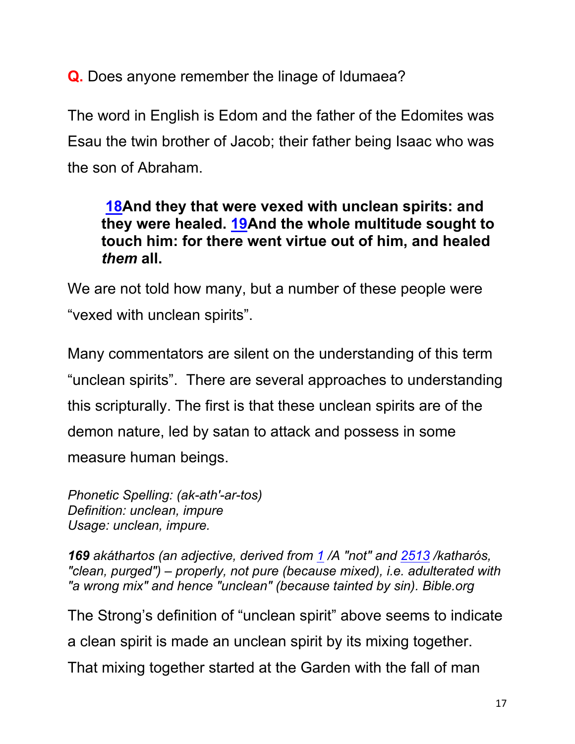**Q.** Does anyone remember the linage of Idumaea?

The word in English is Edom and the father of the Edomites was Esau the twin brother of Jacob; their father being Isaac who was the son of Abraham.

#### **18And they that were vexed with unclean spirits: and they were healed. 19And the whole multitude sought to touch him: for there went virtue out of him, and healed**  *them* **all.**

We are not told how many, but a number of these people were "vexed with unclean spirits".

Many commentators are silent on the understanding of this term "unclean spirits". There are several approaches to understanding this scripturally. The first is that these unclean spirits are of the demon nature, led by satan to attack and possess in some measure human beings.

*Phonetic Spelling: (ak-ath'-ar-tos) Definition: unclean, impure Usage: unclean, impure.*

*169 akáthartos (an adjective, derived from 1 /A "not" and 2513 /katharós, "clean, purged") – properly, not pure (because mixed), i.e. adulterated with "a wrong mix" and hence "unclean" (because tainted by sin). Bible.org*

The Strong's definition of "unclean spirit" above seems to indicate a clean spirit is made an unclean spirit by its mixing together. That mixing together started at the Garden with the fall of man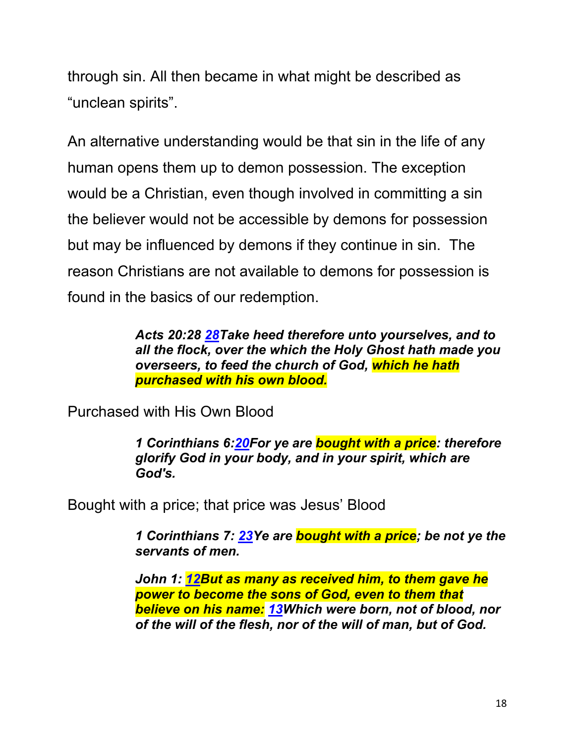through sin. All then became in what might be described as "unclean spirits".

An alternative understanding would be that sin in the life of any human opens them up to demon possession. The exception would be a Christian, even though involved in committing a sin the believer would not be accessible by demons for possession but may be influenced by demons if they continue in sin. The reason Christians are not available to demons for possession is found in the basics of our redemption.

> *Acts 20:28 28Take heed therefore unto yourselves, and to all the flock, over the which the Holy Ghost hath made you overseers, to feed the church of God, which he hath purchased with his own blood.*

Purchased with His Own Blood

*1 Corinthians 6:20For ye are bought with a price: therefore glorify God in your body, and in your spirit, which are God's.*

Bought with a price; that price was Jesus' Blood

*1 Corinthians 7: 23Ye are bought with a price; be not ye the servants of men.* 

*John 1: 12But as many as received him, to them gave he power to become the sons of God, even to them that believe on his name: 13Which were born, not of blood, nor of the will of the flesh, nor of the will of man, but of God.*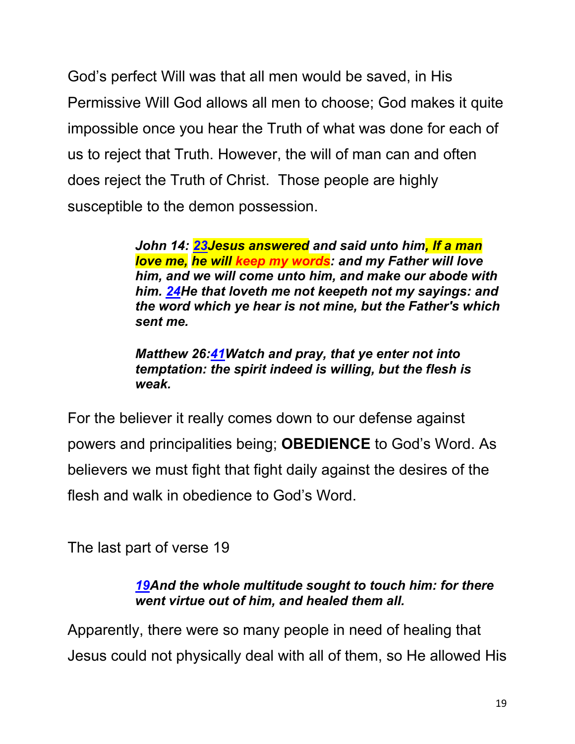God's perfect Will was that all men would be saved, in His Permissive Will God allows all men to choose; God makes it quite impossible once you hear the Truth of what was done for each of us to reject that Truth. However, the will of man can and often does reject the Truth of Christ. Those people are highly susceptible to the demon possession.

> *John 14: 23Jesus answered and said unto him, If a man love me, he will keep my words: and my Father will love him, and we will come unto him, and make our abode with him. 24He that loveth me not keepeth not my sayings: and the word which ye hear is not mine, but the Father's which sent me.*

*Matthew 26:41Watch and pray, that ye enter not into temptation: the spirit indeed is willing, but the flesh is weak.*

For the believer it really comes down to our defense against powers and principalities being; **OBEDIENCE** to God's Word. As believers we must fight that fight daily against the desires of the flesh and walk in obedience to God's Word.

The last part of verse 19

#### *19And the whole multitude sought to touch him: for there went virtue out of him, and healed them all.*

Apparently, there were so many people in need of healing that Jesus could not physically deal with all of them, so He allowed His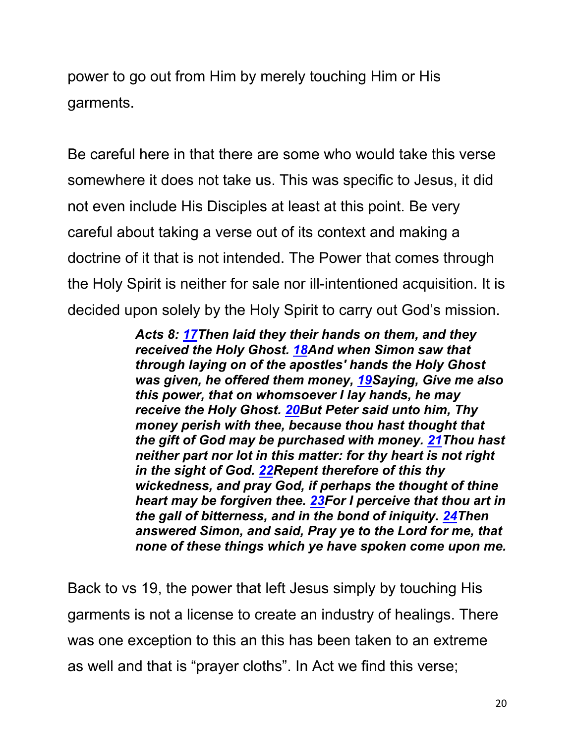power to go out from Him by merely touching Him or His garments.

Be careful here in that there are some who would take this verse somewhere it does not take us. This was specific to Jesus, it did not even include His Disciples at least at this point. Be very careful about taking a verse out of its context and making a doctrine of it that is not intended. The Power that comes through the Holy Spirit is neither for sale nor ill-intentioned acquisition. It is decided upon solely by the Holy Spirit to carry out God's mission.

> *Acts 8: 17Then laid they their hands on them, and they received the Holy Ghost. 18And when Simon saw that through laying on of the apostles' hands the Holy Ghost was given, he offered them money, 19Saying, Give me also this power, that on whomsoever I lay hands, he may receive the Holy Ghost. 20But Peter said unto him, Thy money perish with thee, because thou hast thought that the gift of God may be purchased with money. 21Thou hast neither part nor lot in this matter: for thy heart is not right in the sight of God. 22Repent therefore of this thy wickedness, and pray God, if perhaps the thought of thine heart may be forgiven thee. 23For I perceive that thou art in the gall of bitterness, and in the bond of iniquity. 24Then answered Simon, and said, Pray ye to the Lord for me, that none of these things which ye have spoken come upon me.*

Back to vs 19, the power that left Jesus simply by touching His garments is not a license to create an industry of healings. There was one exception to this an this has been taken to an extreme as well and that is "prayer cloths". In Act we find this verse;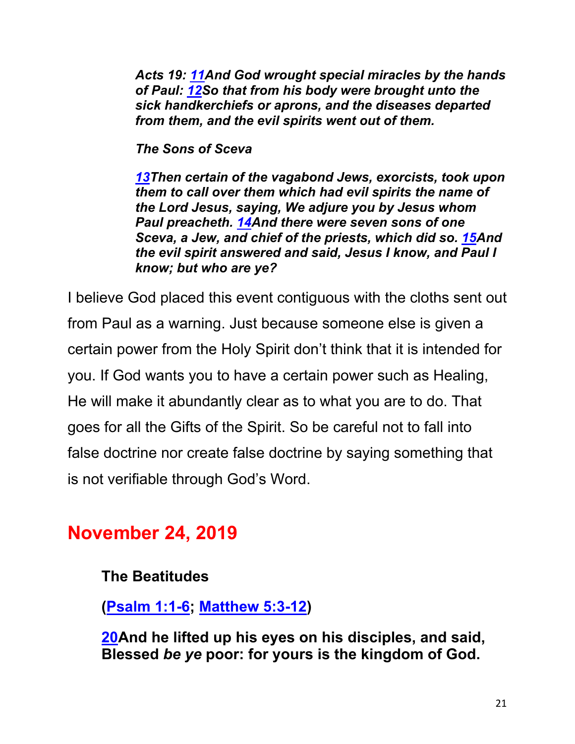*Acts 19: 11And God wrought special miracles by the hands of Paul: 12So that from his body were brought unto the sick handkerchiefs or aprons, and the diseases departed from them, and the evil spirits went out of them.*

*The Sons of Sceva*

*13Then certain of the vagabond Jews, exorcists, took upon them to call over them which had evil spirits the name of the Lord Jesus, saying, We adjure you by Jesus whom Paul preacheth. 14And there were seven sons of one Sceva, a Jew, and chief of the priests, which did so. 15And the evil spirit answered and said, Jesus I know, and Paul I know; but who are ye?* 

I believe God placed this event contiguous with the cloths sent out from Paul as a warning. Just because someone else is given a certain power from the Holy Spirit don't think that it is intended for you. If God wants you to have a certain power such as Healing, He will make it abundantly clear as to what you are to do. That goes for all the Gifts of the Spirit. So be careful not to fall into false doctrine nor create false doctrine by saying something that is not verifiable through God's Word.

# **November 24, 2019**

#### **The Beatitudes**

**(Psalm 1:1-6; Matthew 5:3-12)**

**20And he lifted up his eyes on his disciples, and said, Blessed** *be ye* **poor: for yours is the kingdom of God.**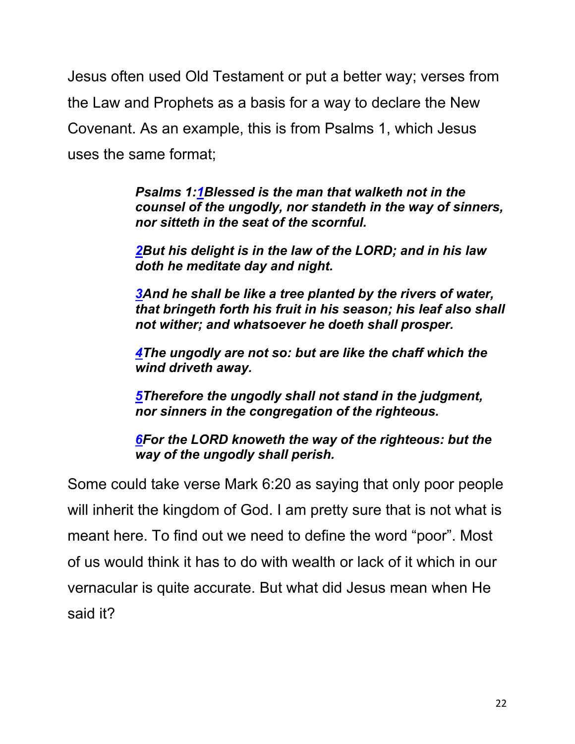Jesus often used Old Testament or put a better way; verses from the Law and Prophets as a basis for a way to declare the New Covenant. As an example, this is from Psalms 1, which Jesus uses the same format;

> *Psalms 1:1Blessed is the man that walketh not in the counsel of the ungodly, nor standeth in the way of sinners, nor sitteth in the seat of the scornful.*

*2But his delight is in the law of the LORD; and in his law doth he meditate day and night.*

*3And he shall be like a tree planted by the rivers of water, that bringeth forth his fruit in his season; his leaf also shall not wither; and whatsoever he doeth shall prosper.*

*4The ungodly are not so: but are like the chaff which the wind driveth away.*

*5Therefore the ungodly shall not stand in the judgment, nor sinners in the congregation of the righteous.*

*6For the LORD knoweth the way of the righteous: but the way of the ungodly shall perish.*

Some could take verse Mark 6:20 as saying that only poor people will inherit the kingdom of God. I am pretty sure that is not what is meant here. To find out we need to define the word "poor". Most of us would think it has to do with wealth or lack of it which in our vernacular is quite accurate. But what did Jesus mean when He said it?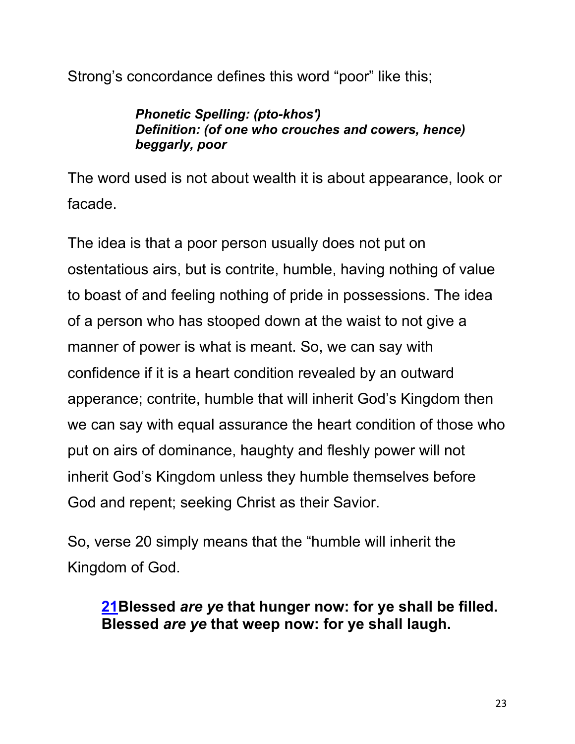Strong's concordance defines this word "poor" like this;

#### *Phonetic Spelling: (pto-khos') Definition: (of one who crouches and cowers, hence) beggarly, poor*

The word used is not about wealth it is about appearance, look or facade.

The idea is that a poor person usually does not put on ostentatious airs, but is contrite, humble, having nothing of value to boast of and feeling nothing of pride in possessions. The idea of a person who has stooped down at the waist to not give a manner of power is what is meant. So, we can say with confidence if it is a heart condition revealed by an outward apperance; contrite, humble that will inherit God's Kingdom then we can say with equal assurance the heart condition of those who put on airs of dominance, haughty and fleshly power will not inherit God's Kingdom unless they humble themselves before God and repent; seeking Christ as their Savior.

So, verse 20 simply means that the "humble will inherit the Kingdom of God.

### **21Blessed** *are ye* **that hunger now: for ye shall be filled. Blessed** *are ye* **that weep now: for ye shall laugh.**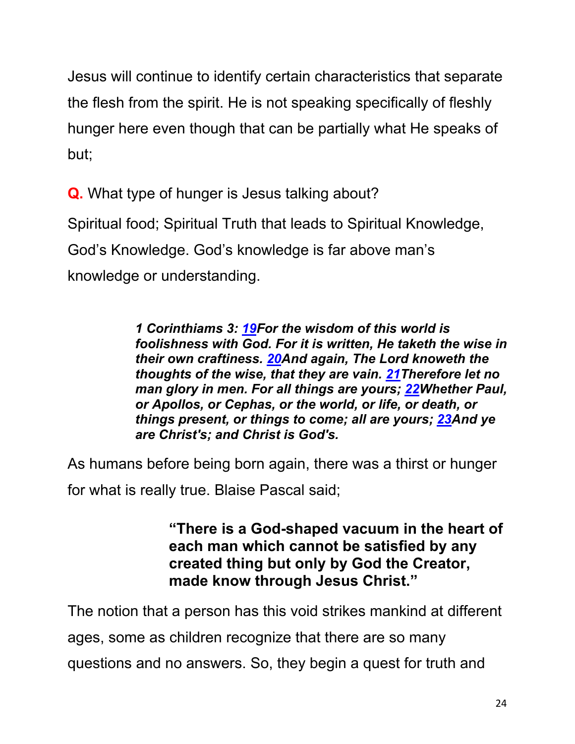Jesus will continue to identify certain characteristics that separate the flesh from the spirit. He is not speaking specifically of fleshly hunger here even though that can be partially what He speaks of but;

**Q.** What type of hunger is Jesus talking about?

Spiritual food; Spiritual Truth that leads to Spiritual Knowledge, God's Knowledge. God's knowledge is far above man's knowledge or understanding.

> *1 Corinthiams 3: 19For the wisdom of this world is foolishness with God. For it is written, He taketh the wise in their own craftiness. 20And again, The Lord knoweth the thoughts of the wise, that they are vain. 21Therefore let no man glory in men. For all things are yours; 22Whether Paul, or Apollos, or Cephas, or the world, or life, or death, or things present, or things to come; all are yours; 23And ye are Christ's; and Christ is God's.*

As humans before being born again, there was a thirst or hunger for what is really true. Blaise Pascal said;

> **"There is a God-shaped vacuum in the heart of each man which cannot be satisfied by any created thing but only by God the Creator, made know through Jesus Christ."**

The notion that a person has this void strikes mankind at different

ages, some as children recognize that there are so many

questions and no answers. So, they begin a quest for truth and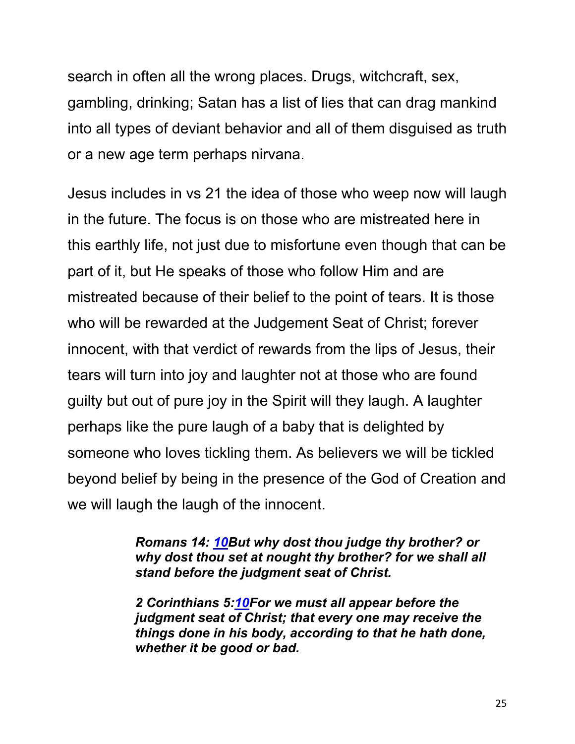search in often all the wrong places. Drugs, witchcraft, sex, gambling, drinking; Satan has a list of lies that can drag mankind into all types of deviant behavior and all of them disguised as truth or a new age term perhaps nirvana.

Jesus includes in vs 21 the idea of those who weep now will laugh in the future. The focus is on those who are mistreated here in this earthly life, not just due to misfortune even though that can be part of it, but He speaks of those who follow Him and are mistreated because of their belief to the point of tears. It is those who will be rewarded at the Judgement Seat of Christ; forever innocent, with that verdict of rewards from the lips of Jesus, their tears will turn into joy and laughter not at those who are found guilty but out of pure joy in the Spirit will they laugh. A laughter perhaps like the pure laugh of a baby that is delighted by someone who loves tickling them. As believers we will be tickled beyond belief by being in the presence of the God of Creation and we will laugh the laugh of the innocent.

> *Romans 14: 10But why dost thou judge thy brother? or why dost thou set at nought thy brother? for we shall all stand before the judgment seat of Christ.*

> *2 Corinthians 5:10For we must all appear before the judgment seat of Christ; that every one may receive the things done in his body, according to that he hath done, whether it be good or bad.*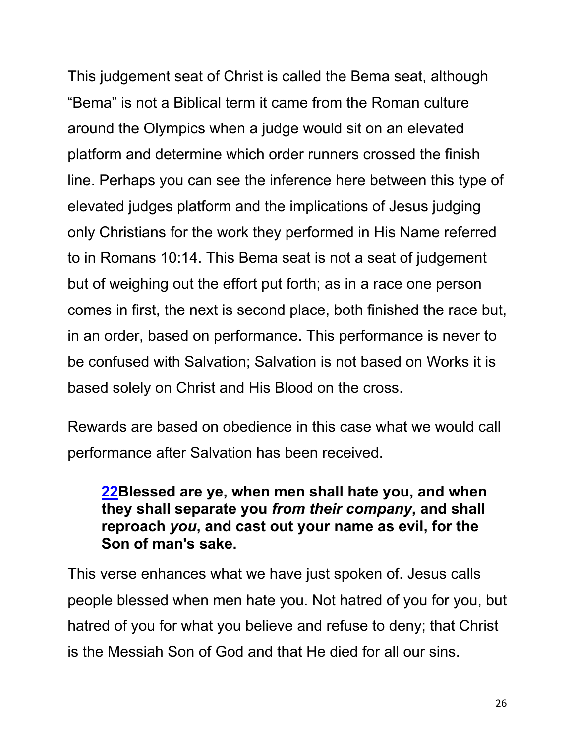This judgement seat of Christ is called the Bema seat, although "Bema" is not a Biblical term it came from the Roman culture around the Olympics when a judge would sit on an elevated platform and determine which order runners crossed the finish line. Perhaps you can see the inference here between this type of elevated judges platform and the implications of Jesus judging only Christians for the work they performed in His Name referred to in Romans 10:14. This Bema seat is not a seat of judgement but of weighing out the effort put forth; as in a race one person comes in first, the next is second place, both finished the race but, in an order, based on performance. This performance is never to be confused with Salvation; Salvation is not based on Works it is based solely on Christ and His Blood on the cross.

Rewards are based on obedience in this case what we would call performance after Salvation has been received.

#### **22Blessed are ye, when men shall hate you, and when they shall separate you** *from their company***, and shall reproach** *you***, and cast out your name as evil, for the Son of man's sake.**

This verse enhances what we have just spoken of. Jesus calls people blessed when men hate you. Not hatred of you for you, but hatred of you for what you believe and refuse to deny; that Christ is the Messiah Son of God and that He died for all our sins.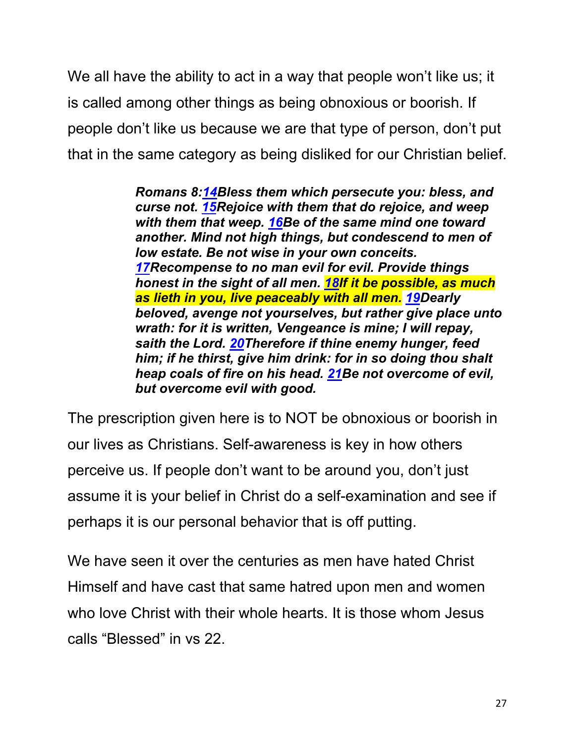We all have the ability to act in a way that people won't like us; it is called among other things as being obnoxious or boorish. If people don't like us because we are that type of person, don't put that in the same category as being disliked for our Christian belief.

> *Romans 8:14Bless them which persecute you: bless, and curse not. 15Rejoice with them that do rejoice, and weep with them that weep. 16Be of the same mind one toward another. Mind not high things, but condescend to men of low estate. Be not wise in your own conceits. 17Recompense to no man evil for evil. Provide things honest in the sight of all men. 18If it be possible, as much as lieth in you, live peaceably with all men. 19Dearly beloved, avenge not yourselves, but rather give place unto wrath: for it is written, Vengeance is mine; I will repay, saith the Lord. 20Therefore if thine enemy hunger, feed him; if he thirst, give him drink: for in so doing thou shalt heap coals of fire on his head. 21Be not overcome of evil, but overcome evil with good.*

The prescription given here is to NOT be obnoxious or boorish in our lives as Christians. Self-awareness is key in how others perceive us. If people don't want to be around you, don't just assume it is your belief in Christ do a self-examination and see if perhaps it is our personal behavior that is off putting.

We have seen it over the centuries as men have hated Christ Himself and have cast that same hatred upon men and women who love Christ with their whole hearts. It is those whom Jesus calls "Blessed" in vs 22.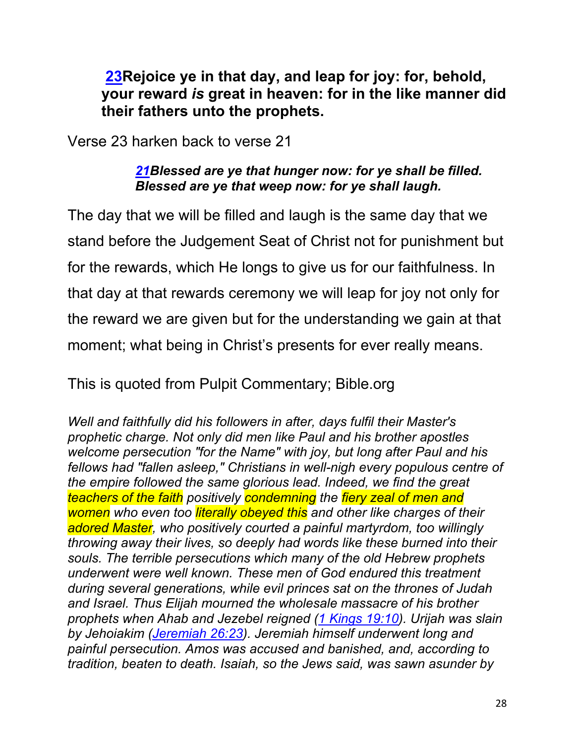**23Rejoice ye in that day, and leap for joy: for, behold, your reward** *is* **great in heaven: for in the like manner did their fathers unto the prophets.**

Verse 23 harken back to verse 21

#### *21Blessed are ye that hunger now: for ye shall be filled. Blessed are ye that weep now: for ye shall laugh.*

The day that we will be filled and laugh is the same day that we stand before the Judgement Seat of Christ not for punishment but for the rewards, which He longs to give us for our faithfulness. In that day at that rewards ceremony we will leap for joy not only for the reward we are given but for the understanding we gain at that moment; what being in Christ's presents for ever really means.

This is quoted from Pulpit Commentary; Bible.org

*Well and faithfully did his followers in after, days fulfil their Master's prophetic charge. Not only did men like Paul and his brother apostles welcome persecution "for the Name" with joy, but long after Paul and his fellows had "fallen asleep," Christians in well-nigh every populous centre of the empire followed the same glorious lead. Indeed, we find the great teachers of the faith positively condemning the fiery zeal of men and women who even too literally obeyed this and other like charges of their adored Master, who positively courted a painful martyrdom, too willingly throwing away their lives, so deeply had words like these burned into their souls. The terrible persecutions which many of the old Hebrew prophets underwent were well known. These men of God endured this treatment during several generations, while evil princes sat on the thrones of Judah and Israel. Thus Elijah mourned the wholesale massacre of his brother prophets when Ahab and Jezebel reigned (1 Kings 19:10). Urijah was slain by Jehoiakim (Jeremiah 26:23). Jeremiah himself underwent long and painful persecution. Amos was accused and banished, and, according to tradition, beaten to death. Isaiah, so the Jews said, was sawn asunder by*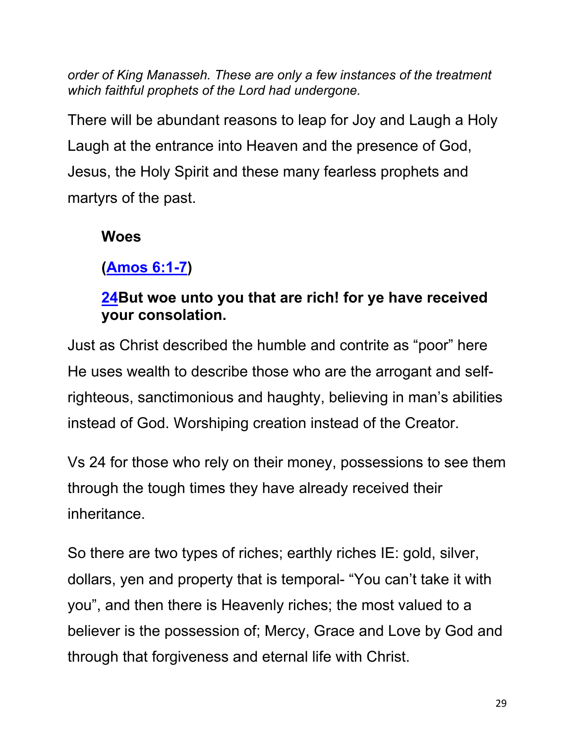*order of King Manasseh. These are only a few instances of the treatment which faithful prophets of the Lord had undergone.* 

There will be abundant reasons to leap for Joy and Laugh a Holy Laugh at the entrance into Heaven and the presence of God, Jesus, the Holy Spirit and these many fearless prophets and martyrs of the past.

## **Woes**

# **(Amos 6:1-7)**

## **24But woe unto you that are rich! for ye have received your consolation.**

Just as Christ described the humble and contrite as "poor" here He uses wealth to describe those who are the arrogant and selfrighteous, sanctimonious and haughty, believing in man's abilities instead of God. Worshiping creation instead of the Creator.

Vs 24 for those who rely on their money, possessions to see them through the tough times they have already received their inheritance.

So there are two types of riches; earthly riches IE: gold, silver, dollars, yen and property that is temporal- "You can't take it with you", and then there is Heavenly riches; the most valued to a believer is the possession of; Mercy, Grace and Love by God and through that forgiveness and eternal life with Christ.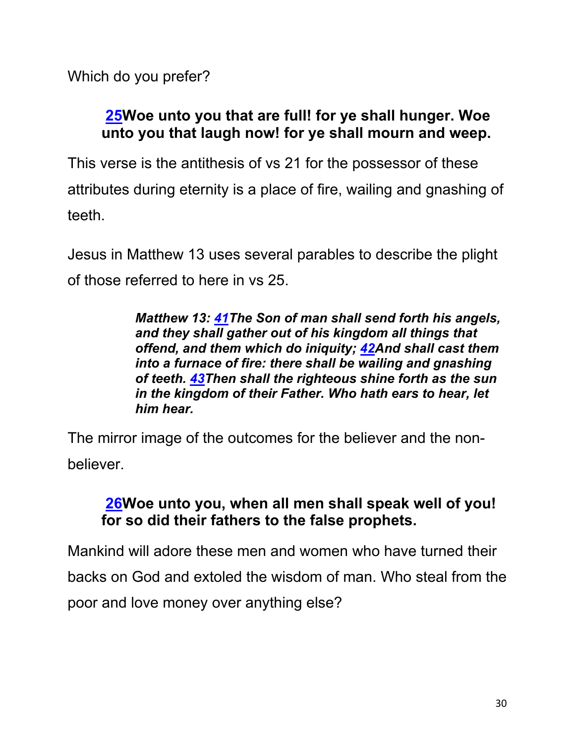Which do you prefer?

## **25Woe unto you that are full! for ye shall hunger. Woe unto you that laugh now! for ye shall mourn and weep.**

This verse is the antithesis of vs 21 for the possessor of these attributes during eternity is a place of fire, wailing and gnashing of teeth.

Jesus in Matthew 13 uses several parables to describe the plight of those referred to here in vs 25.

> *Matthew 13: 41The Son of man shall send forth his angels, and they shall gather out of his kingdom all things that offend, and them which do iniquity; 42And shall cast them into a furnace of fire: there shall be wailing and gnashing of teeth. 43Then shall the righteous shine forth as the sun in the kingdom of their Father. Who hath ears to hear, let him hear.*

The mirror image of the outcomes for the believer and the nonbeliever.

#### **26Woe unto you, when all men shall speak well of you! for so did their fathers to the false prophets.**

Mankind will adore these men and women who have turned their backs on God and extoled the wisdom of man. Who steal from the poor and love money over anything else?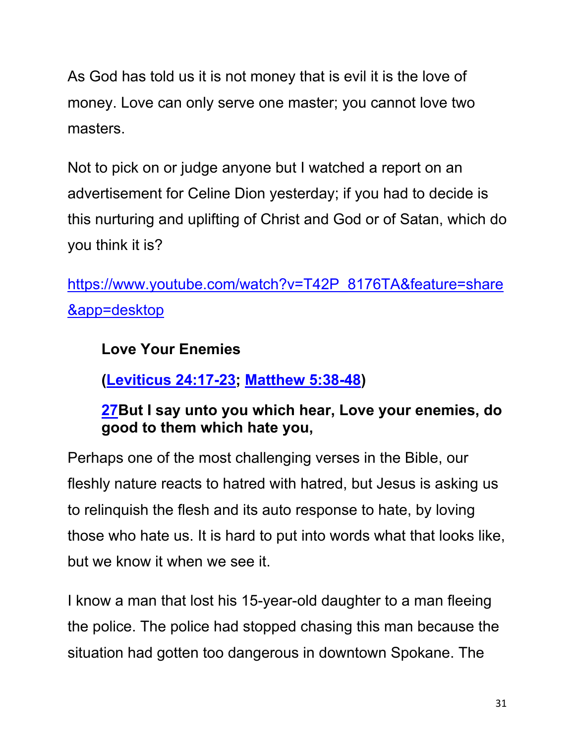As God has told us it is not money that is evil it is the love of money. Love can only serve one master; you cannot love two masters.

Not to pick on or judge anyone but I watched a report on an advertisement for Celine Dion yesterday; if you had to decide is this nurturing and uplifting of Christ and God or of Satan, which do you think it is?

https://www.youtube.com/watch?v=T42P\_8176TA&feature=share &app=desktop

# **Love Your Enemies**

**(Leviticus 24:17-23; Matthew 5:38-48)**

### **27But I say unto you which hear, Love your enemies, do good to them which hate you,**

Perhaps one of the most challenging verses in the Bible, our fleshly nature reacts to hatred with hatred, but Jesus is asking us to relinquish the flesh and its auto response to hate, by loving those who hate us. It is hard to put into words what that looks like, but we know it when we see it.

I know a man that lost his 15-year-old daughter to a man fleeing the police. The police had stopped chasing this man because the situation had gotten too dangerous in downtown Spokane. The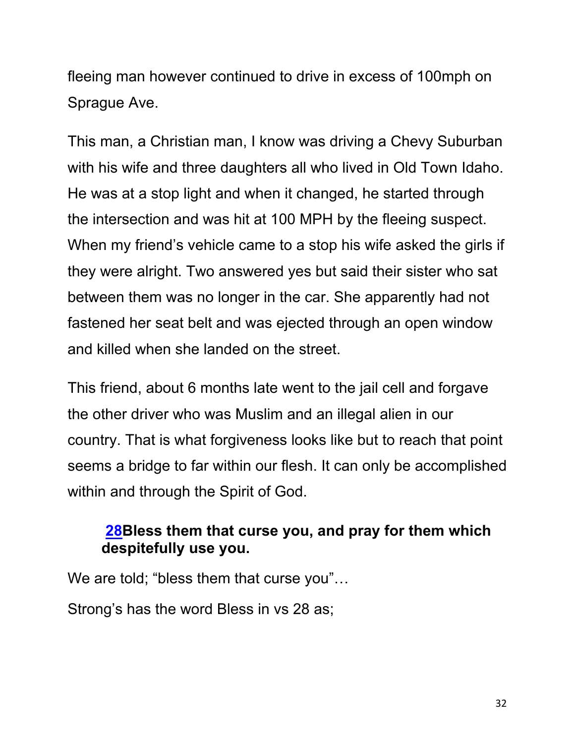fleeing man however continued to drive in excess of 100mph on Sprague Ave.

This man, a Christian man, I know was driving a Chevy Suburban with his wife and three daughters all who lived in Old Town Idaho. He was at a stop light and when it changed, he started through the intersection and was hit at 100 MPH by the fleeing suspect. When my friend's vehicle came to a stop his wife asked the girls if they were alright. Two answered yes but said their sister who sat between them was no longer in the car. She apparently had not fastened her seat belt and was ejected through an open window and killed when she landed on the street.

This friend, about 6 months late went to the jail cell and forgave the other driver who was Muslim and an illegal alien in our country. That is what forgiveness looks like but to reach that point seems a bridge to far within our flesh. It can only be accomplished within and through the Spirit of God.

## **28Bless them that curse you, and pray for them which despitefully use you.**

We are told; "bless them that curse you"...

Strong's has the word Bless in vs 28 as;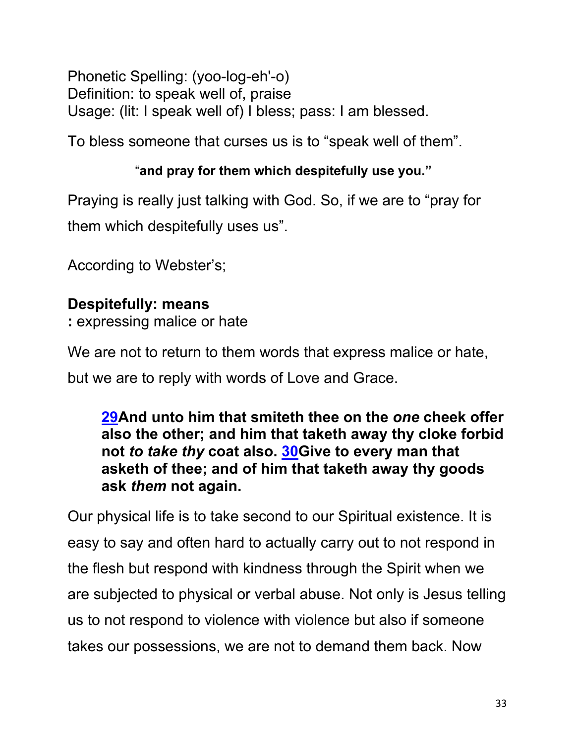Phonetic Spelling: (yoo-log-eh'-o) Definition: to speak well of, praise Usage: (lit: I speak well of) I bless; pass: I am blessed.

To bless someone that curses us is to "speak well of them".

### "**and pray for them which despitefully use you."**

Praying is really just talking with God. So, if we are to "pray for them which despitefully uses us".

According to Webster's;

# **Despitefully: means**

**:** expressing malice or hate

We are not to return to them words that express malice or hate,

but we are to reply with words of Love and Grace.

**29And unto him that smiteth thee on the** *one* **cheek offer also the other; and him that taketh away thy cloke forbid not** *to take thy* **coat also. 30Give to every man that asketh of thee; and of him that taketh away thy goods ask** *them* **not again.**

Our physical life is to take second to our Spiritual existence. It is easy to say and often hard to actually carry out to not respond in the flesh but respond with kindness through the Spirit when we are subjected to physical or verbal abuse. Not only is Jesus telling us to not respond to violence with violence but also if someone takes our possessions, we are not to demand them back. Now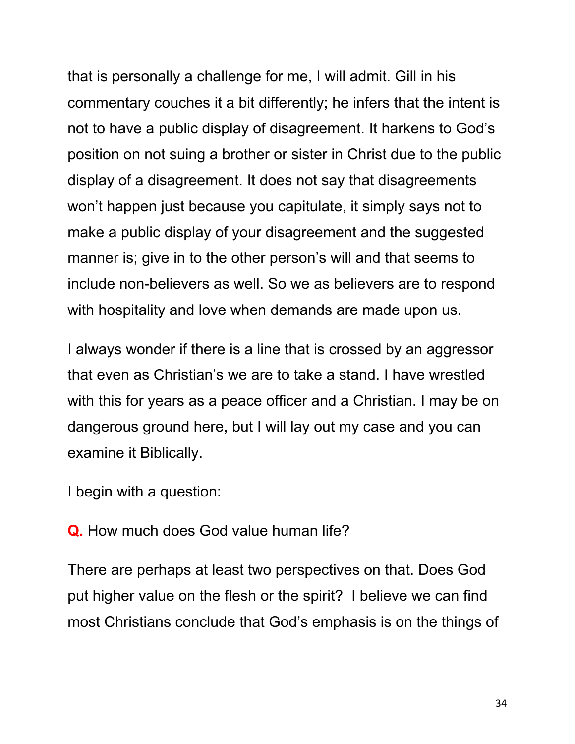that is personally a challenge for me, I will admit. Gill in his commentary couches it a bit differently; he infers that the intent is not to have a public display of disagreement. It harkens to God's position on not suing a brother or sister in Christ due to the public display of a disagreement. It does not say that disagreements won't happen just because you capitulate, it simply says not to make a public display of your disagreement and the suggested manner is; give in to the other person's will and that seems to include non-believers as well. So we as believers are to respond with hospitality and love when demands are made upon us.

I always wonder if there is a line that is crossed by an aggressor that even as Christian's we are to take a stand. I have wrestled with this for years as a peace officer and a Christian. I may be on dangerous ground here, but I will lay out my case and you can examine it Biblically.

I begin with a question:

**Q.** How much does God value human life?

There are perhaps at least two perspectives on that. Does God put higher value on the flesh or the spirit? I believe we can find most Christians conclude that God's emphasis is on the things of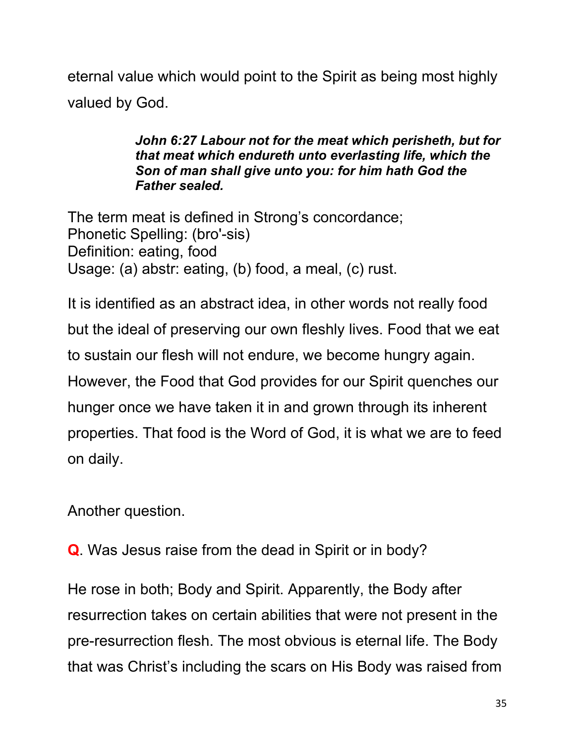eternal value which would point to the Spirit as being most highly valued by God.

> *John 6:27 Labour not for the meat which perisheth, but for that meat which endureth unto everlasting life, which the Son of man shall give unto you: for him hath God the Father sealed.*

The term meat is defined in Strong's concordance; Phonetic Spelling: (bro'-sis) Definition: eating, food Usage: (a) abstr: eating, (b) food, a meal, (c) rust.

It is identified as an abstract idea, in other words not really food but the ideal of preserving our own fleshly lives. Food that we eat to sustain our flesh will not endure, we become hungry again. However, the Food that God provides for our Spirit quenches our hunger once we have taken it in and grown through its inherent properties. That food is the Word of God, it is what we are to feed on daily.

Another question.

**Q**. Was Jesus raise from the dead in Spirit or in body?

He rose in both; Body and Spirit. Apparently, the Body after resurrection takes on certain abilities that were not present in the pre-resurrection flesh. The most obvious is eternal life. The Body that was Christ's including the scars on His Body was raised from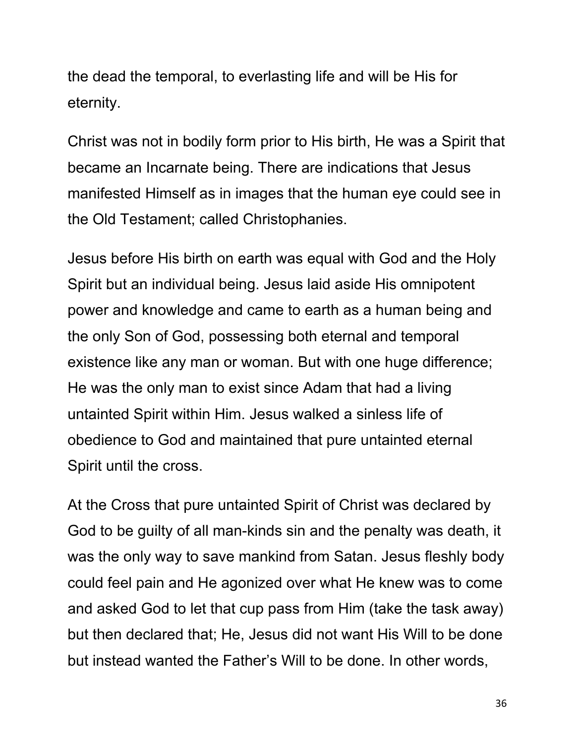the dead the temporal, to everlasting life and will be His for eternity.

Christ was not in bodily form prior to His birth, He was a Spirit that became an Incarnate being. There are indications that Jesus manifested Himself as in images that the human eye could see in the Old Testament; called Christophanies.

Jesus before His birth on earth was equal with God and the Holy Spirit but an individual being. Jesus laid aside His omnipotent power and knowledge and came to earth as a human being and the only Son of God, possessing both eternal and temporal existence like any man or woman. But with one huge difference; He was the only man to exist since Adam that had a living untainted Spirit within Him. Jesus walked a sinless life of obedience to God and maintained that pure untainted eternal Spirit until the cross.

At the Cross that pure untainted Spirit of Christ was declared by God to be guilty of all man-kinds sin and the penalty was death, it was the only way to save mankind from Satan. Jesus fleshly body could feel pain and He agonized over what He knew was to come and asked God to let that cup pass from Him (take the task away) but then declared that; He, Jesus did not want His Will to be done but instead wanted the Father's Will to be done. In other words,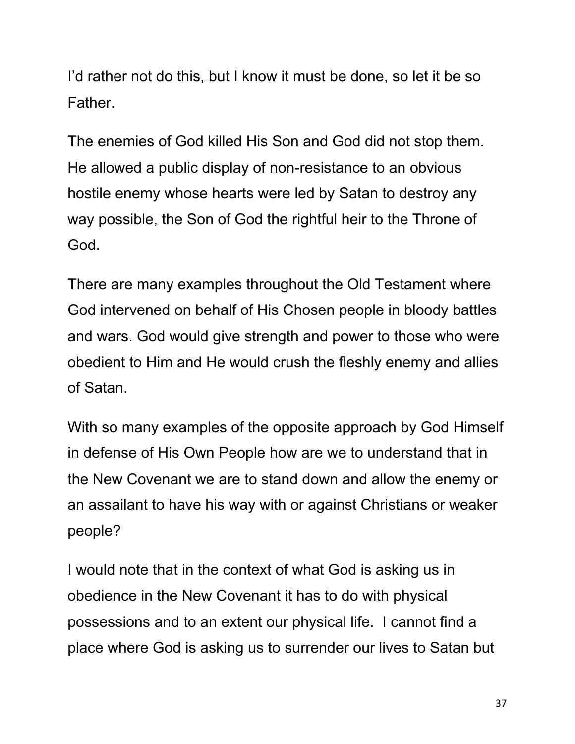I'd rather not do this, but I know it must be done, so let it be so Father.

The enemies of God killed His Son and God did not stop them. He allowed a public display of non-resistance to an obvious hostile enemy whose hearts were led by Satan to destroy any way possible, the Son of God the rightful heir to the Throne of God.

There are many examples throughout the Old Testament where God intervened on behalf of His Chosen people in bloody battles and wars. God would give strength and power to those who were obedient to Him and He would crush the fleshly enemy and allies of Satan.

With so many examples of the opposite approach by God Himself in defense of His Own People how are we to understand that in the New Covenant we are to stand down and allow the enemy or an assailant to have his way with or against Christians or weaker people?

I would note that in the context of what God is asking us in obedience in the New Covenant it has to do with physical possessions and to an extent our physical life. I cannot find a place where God is asking us to surrender our lives to Satan but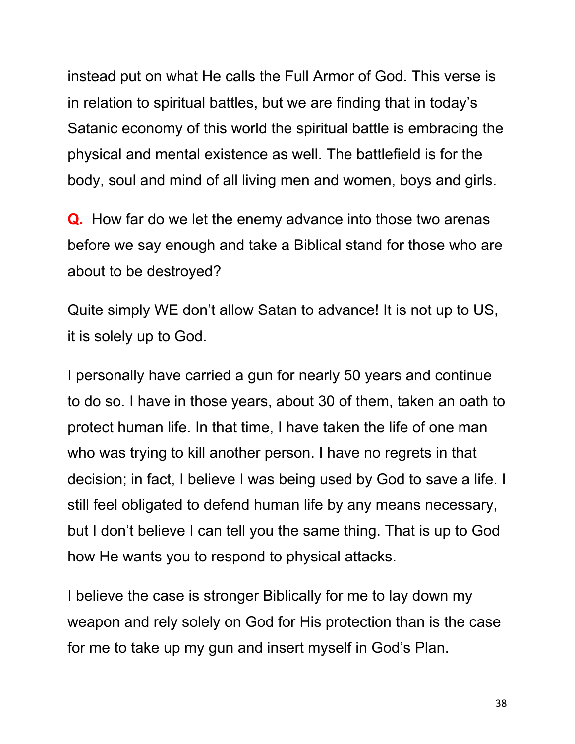instead put on what He calls the Full Armor of God. This verse is in relation to spiritual battles, but we are finding that in today's Satanic economy of this world the spiritual battle is embracing the physical and mental existence as well. The battlefield is for the body, soul and mind of all living men and women, boys and girls.

**Q.** How far do we let the enemy advance into those two arenas before we say enough and take a Biblical stand for those who are about to be destroyed?

Quite simply WE don't allow Satan to advance! It is not up to US, it is solely up to God.

I personally have carried a gun for nearly 50 years and continue to do so. I have in those years, about 30 of them, taken an oath to protect human life. In that time, I have taken the life of one man who was trying to kill another person. I have no regrets in that decision; in fact, I believe I was being used by God to save a life. I still feel obligated to defend human life by any means necessary, but I don't believe I can tell you the same thing. That is up to God how He wants you to respond to physical attacks.

I believe the case is stronger Biblically for me to lay down my weapon and rely solely on God for His protection than is the case for me to take up my gun and insert myself in God's Plan.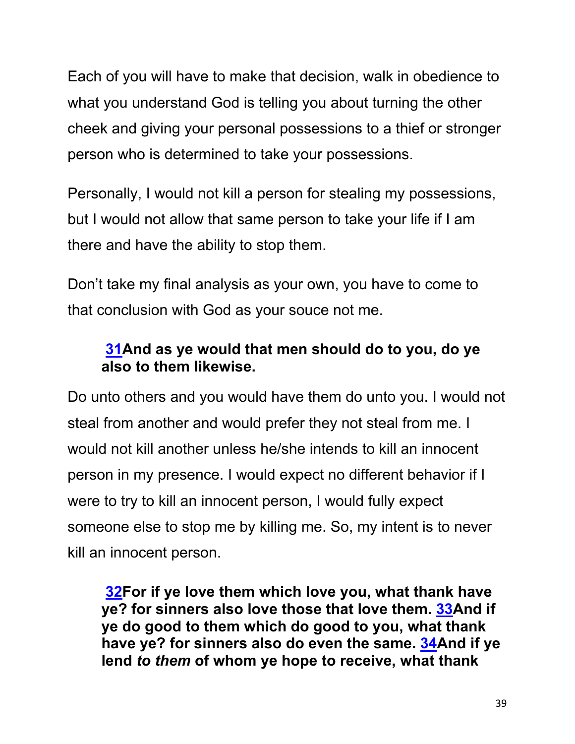Each of you will have to make that decision, walk in obedience to what you understand God is telling you about turning the other cheek and giving your personal possessions to a thief or stronger person who is determined to take your possessions.

Personally, I would not kill a person for stealing my possessions, but I would not allow that same person to take your life if I am there and have the ability to stop them.

Don't take my final analysis as your own, you have to come to that conclusion with God as your souce not me.

## **31And as ye would that men should do to you, do ye also to them likewise.**

Do unto others and you would have them do unto you. I would not steal from another and would prefer they not steal from me. I would not kill another unless he/she intends to kill an innocent person in my presence. I would expect no different behavior if I were to try to kill an innocent person, I would fully expect someone else to stop me by killing me. So, my intent is to never kill an innocent person.

**32For if ye love them which love you, what thank have ye? for sinners also love those that love them. 33And if ye do good to them which do good to you, what thank have ye? for sinners also do even the same. 34And if ye lend** *to them* **of whom ye hope to receive, what thank**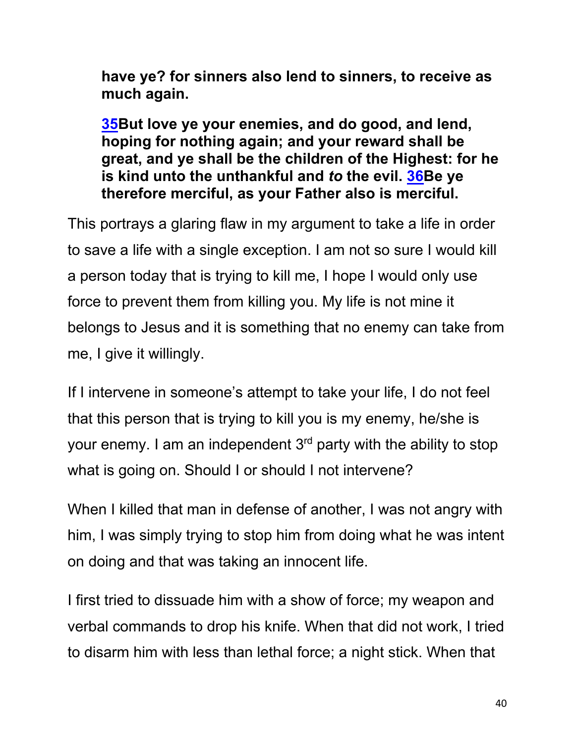**have ye? for sinners also lend to sinners, to receive as much again.**

**35But love ye your enemies, and do good, and lend, hoping for nothing again; and your reward shall be great, and ye shall be the children of the Highest: for he is kind unto the unthankful and** *to* **the evil. 36Be ye therefore merciful, as your Father also is merciful.**

This portrays a glaring flaw in my argument to take a life in order to save a life with a single exception. I am not so sure I would kill a person today that is trying to kill me, I hope I would only use force to prevent them from killing you. My life is not mine it belongs to Jesus and it is something that no enemy can take from me, I give it willingly.

If I intervene in someone's attempt to take your life, I do not feel that this person that is trying to kill you is my enemy, he/she is your enemy. I am an independent  $3<sup>rd</sup>$  party with the ability to stop what is going on. Should I or should I not intervene?

When I killed that man in defense of another, I was not angry with him, I was simply trying to stop him from doing what he was intent on doing and that was taking an innocent life.

I first tried to dissuade him with a show of force; my weapon and verbal commands to drop his knife. When that did not work, I tried to disarm him with less than lethal force; a night stick. When that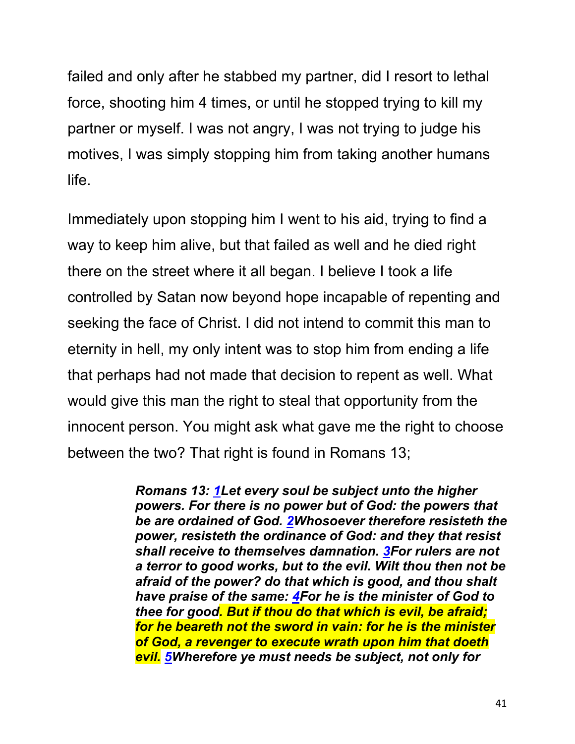failed and only after he stabbed my partner, did I resort to lethal force, shooting him 4 times, or until he stopped trying to kill my partner or myself. I was not angry, I was not trying to judge his motives, I was simply stopping him from taking another humans life.

Immediately upon stopping him I went to his aid, trying to find a way to keep him alive, but that failed as well and he died right there on the street where it all began. I believe I took a life controlled by Satan now beyond hope incapable of repenting and seeking the face of Christ. I did not intend to commit this man to eternity in hell, my only intent was to stop him from ending a life that perhaps had not made that decision to repent as well. What would give this man the right to steal that opportunity from the innocent person. You might ask what gave me the right to choose between the two? That right is found in Romans 13;

> *Romans 13: 1Let every soul be subject unto the higher powers. For there is no power but of God: the powers that be are ordained of God. 2Whosoever therefore resisteth the power, resisteth the ordinance of God: and they that resist shall receive to themselves damnation. 3For rulers are not a terror to good works, but to the evil. Wilt thou then not be afraid of the power? do that which is good, and thou shalt have praise of the same: 4For he is the minister of God to thee for good. But if thou do that which is evil, be afraid; for he beareth not the sword in vain: for he is the minister of God, a revenger to execute wrath upon him that doeth evil. 5Wherefore ye must needs be subject, not only for*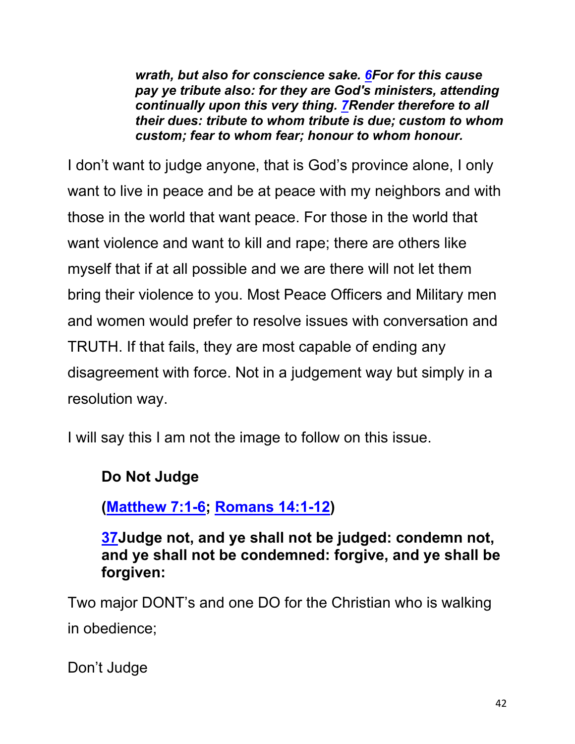*wrath, but also for conscience sake. 6For for this cause pay ye tribute also: for they are God's ministers, attending continually upon this very thing. 7Render therefore to all their dues: tribute to whom tribute is due; custom to whom custom; fear to whom fear; honour to whom honour.*

I don't want to judge anyone, that is God's province alone, I only want to live in peace and be at peace with my neighbors and with those in the world that want peace. For those in the world that want violence and want to kill and rape; there are others like myself that if at all possible and we are there will not let them bring their violence to you. Most Peace Officers and Military men and women would prefer to resolve issues with conversation and TRUTH. If that fails, they are most capable of ending any disagreement with force. Not in a judgement way but simply in a resolution way.

I will say this I am not the image to follow on this issue.

#### **Do Not Judge**

**(Matthew 7:1-6; Romans 14:1-12)**

**37Judge not, and ye shall not be judged: condemn not, and ye shall not be condemned: forgive, and ye shall be forgiven:**

Two major DONT's and one DO for the Christian who is walking in obedience;

Don't Judge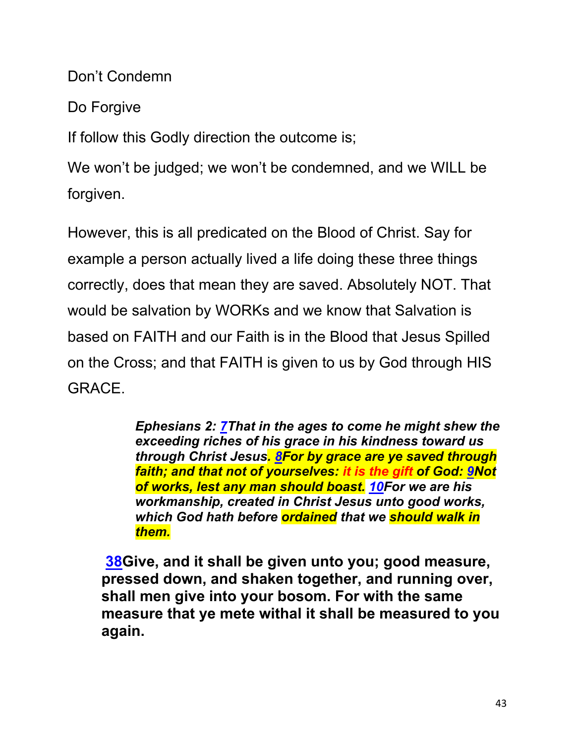Don't Condemn

Do Forgive

If follow this Godly direction the outcome is;

We won't be judged; we won't be condemned, and we WILL be forgiven.

However, this is all predicated on the Blood of Christ. Say for example a person actually lived a life doing these three things correctly, does that mean they are saved. Absolutely NOT. That would be salvation by WORKs and we know that Salvation is based on FAITH and our Faith is in the Blood that Jesus Spilled on the Cross; and that FAITH is given to us by God through HIS GRACE.

> *Ephesians 2: 7That in the ages to come he might shew the exceeding riches of his grace in his kindness toward us through Christ Jesus. 8For by grace are ye saved through faith; and that not of yourselves: it is the gift of God: 9Not of works, lest any man should boast. 10For we are his workmanship, created in Christ Jesus unto good works, which God hath before ordained that we should walk in them.*

**38Give, and it shall be given unto you; good measure, pressed down, and shaken together, and running over, shall men give into your bosom. For with the same measure that ye mete withal it shall be measured to you again.**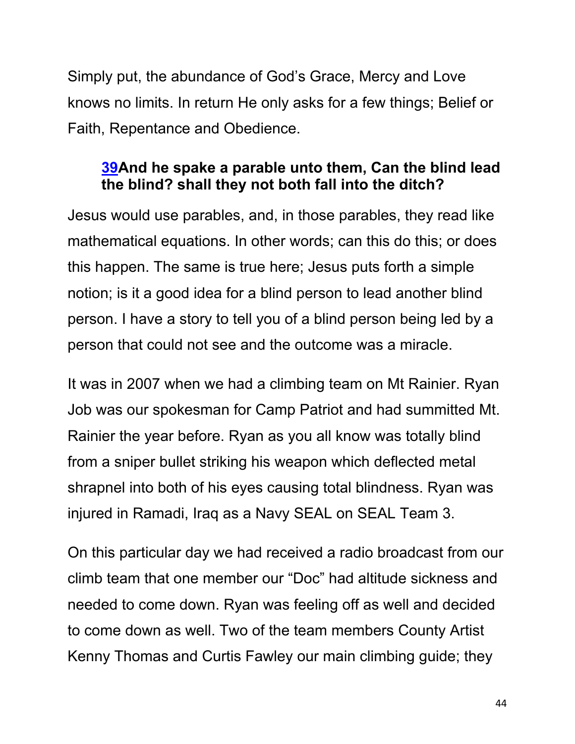Simply put, the abundance of God's Grace, Mercy and Love knows no limits. In return He only asks for a few things; Belief or Faith, Repentance and Obedience.

#### **39And he spake a parable unto them, Can the blind lead the blind? shall they not both fall into the ditch?**

Jesus would use parables, and, in those parables, they read like mathematical equations. In other words; can this do this; or does this happen. The same is true here; Jesus puts forth a simple notion; is it a good idea for a blind person to lead another blind person. I have a story to tell you of a blind person being led by a person that could not see and the outcome was a miracle.

It was in 2007 when we had a climbing team on Mt Rainier. Ryan Job was our spokesman for Camp Patriot and had summitted Mt. Rainier the year before. Ryan as you all know was totally blind from a sniper bullet striking his weapon which deflected metal shrapnel into both of his eyes causing total blindness. Ryan was injured in Ramadi, Iraq as a Navy SEAL on SEAL Team 3.

On this particular day we had received a radio broadcast from our climb team that one member our "Doc" had altitude sickness and needed to come down. Ryan was feeling off as well and decided to come down as well. Two of the team members County Artist Kenny Thomas and Curtis Fawley our main climbing guide; they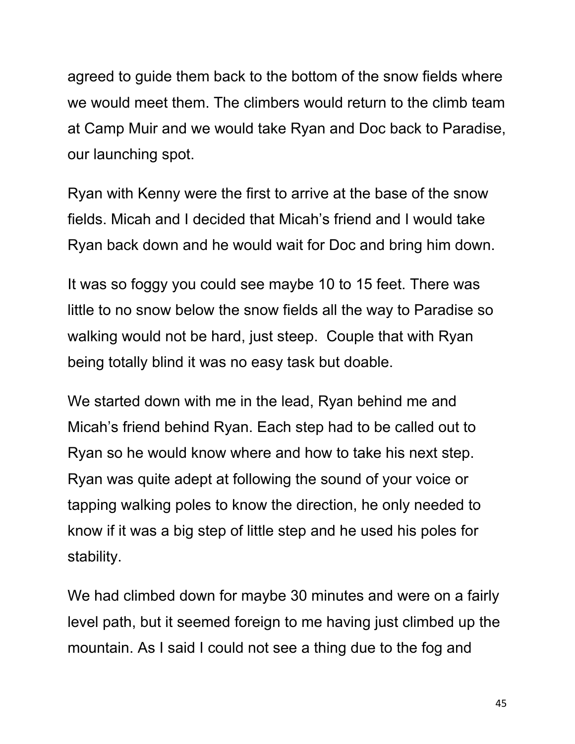agreed to guide them back to the bottom of the snow fields where we would meet them. The climbers would return to the climb team at Camp Muir and we would take Ryan and Doc back to Paradise, our launching spot.

Ryan with Kenny were the first to arrive at the base of the snow fields. Micah and I decided that Micah's friend and I would take Ryan back down and he would wait for Doc and bring him down.

It was so foggy you could see maybe 10 to 15 feet. There was little to no snow below the snow fields all the way to Paradise so walking would not be hard, just steep. Couple that with Ryan being totally blind it was no easy task but doable.

We started down with me in the lead, Ryan behind me and Micah's friend behind Ryan. Each step had to be called out to Ryan so he would know where and how to take his next step. Ryan was quite adept at following the sound of your voice or tapping walking poles to know the direction, he only needed to know if it was a big step of little step and he used his poles for stability.

We had climbed down for maybe 30 minutes and were on a fairly level path, but it seemed foreign to me having just climbed up the mountain. As I said I could not see a thing due to the fog and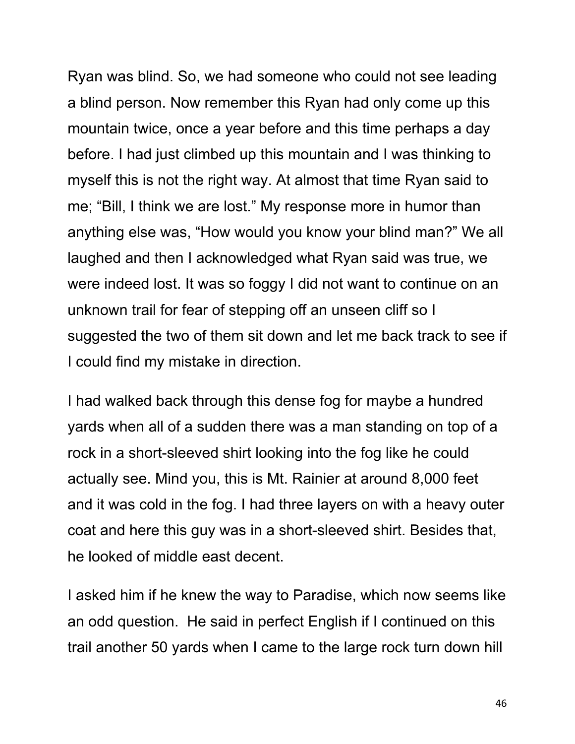Ryan was blind. So, we had someone who could not see leading a blind person. Now remember this Ryan had only come up this mountain twice, once a year before and this time perhaps a day before. I had just climbed up this mountain and I was thinking to myself this is not the right way. At almost that time Ryan said to me; "Bill, I think we are lost." My response more in humor than anything else was, "How would you know your blind man?" We all laughed and then I acknowledged what Ryan said was true, we were indeed lost. It was so foggy I did not want to continue on an unknown trail for fear of stepping off an unseen cliff so I suggested the two of them sit down and let me back track to see if I could find my mistake in direction.

I had walked back through this dense fog for maybe a hundred yards when all of a sudden there was a man standing on top of a rock in a short-sleeved shirt looking into the fog like he could actually see. Mind you, this is Mt. Rainier at around 8,000 feet and it was cold in the fog. I had three layers on with a heavy outer coat and here this guy was in a short-sleeved shirt. Besides that, he looked of middle east decent.

I asked him if he knew the way to Paradise, which now seems like an odd question. He said in perfect English if I continued on this trail another 50 yards when I came to the large rock turn down hill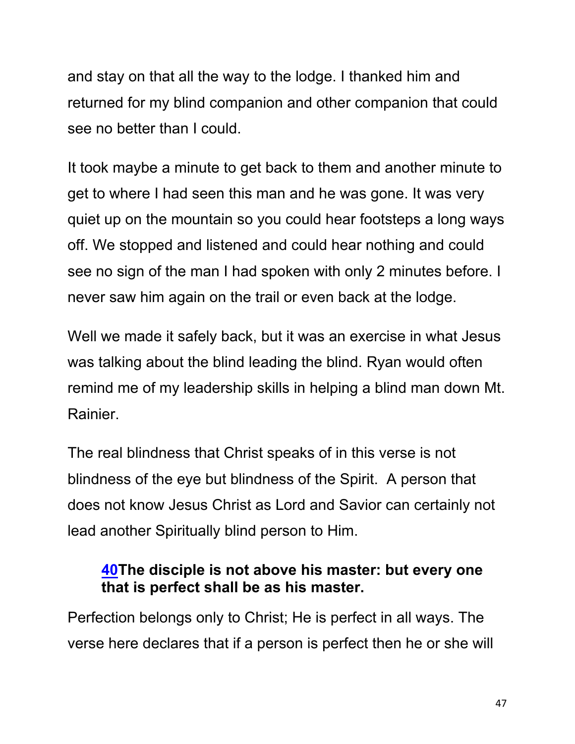and stay on that all the way to the lodge. I thanked him and returned for my blind companion and other companion that could see no better than I could.

It took maybe a minute to get back to them and another minute to get to where I had seen this man and he was gone. It was very quiet up on the mountain so you could hear footsteps a long ways off. We stopped and listened and could hear nothing and could see no sign of the man I had spoken with only 2 minutes before. I never saw him again on the trail or even back at the lodge.

Well we made it safely back, but it was an exercise in what Jesus was talking about the blind leading the blind. Ryan would often remind me of my leadership skills in helping a blind man down Mt. Rainier.

The real blindness that Christ speaks of in this verse is not blindness of the eye but blindness of the Spirit. A person that does not know Jesus Christ as Lord and Savior can certainly not lead another Spiritually blind person to Him.

### **40The disciple is not above his master: but every one that is perfect shall be as his master.**

Perfection belongs only to Christ; He is perfect in all ways. The verse here declares that if a person is perfect then he or she will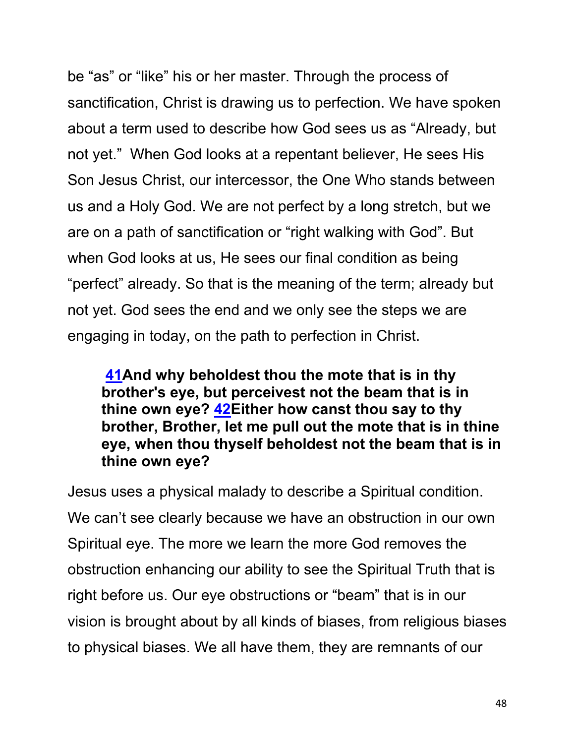be "as" or "like" his or her master. Through the process of sanctification, Christ is drawing us to perfection. We have spoken about a term used to describe how God sees us as "Already, but not yet." When God looks at a repentant believer, He sees His Son Jesus Christ, our intercessor, the One Who stands between us and a Holy God. We are not perfect by a long stretch, but we are on a path of sanctification or "right walking with God". But when God looks at us, He sees our final condition as being "perfect" already. So that is the meaning of the term; already but not yet. God sees the end and we only see the steps we are engaging in today, on the path to perfection in Christ.

**41And why beholdest thou the mote that is in thy brother's eye, but perceivest not the beam that is in thine own eye? 42Either how canst thou say to thy brother, Brother, let me pull out the mote that is in thine eye, when thou thyself beholdest not the beam that is in thine own eye?**

Jesus uses a physical malady to describe a Spiritual condition. We can't see clearly because we have an obstruction in our own Spiritual eye. The more we learn the more God removes the obstruction enhancing our ability to see the Spiritual Truth that is right before us. Our eye obstructions or "beam" that is in our vision is brought about by all kinds of biases, from religious biases to physical biases. We all have them, they are remnants of our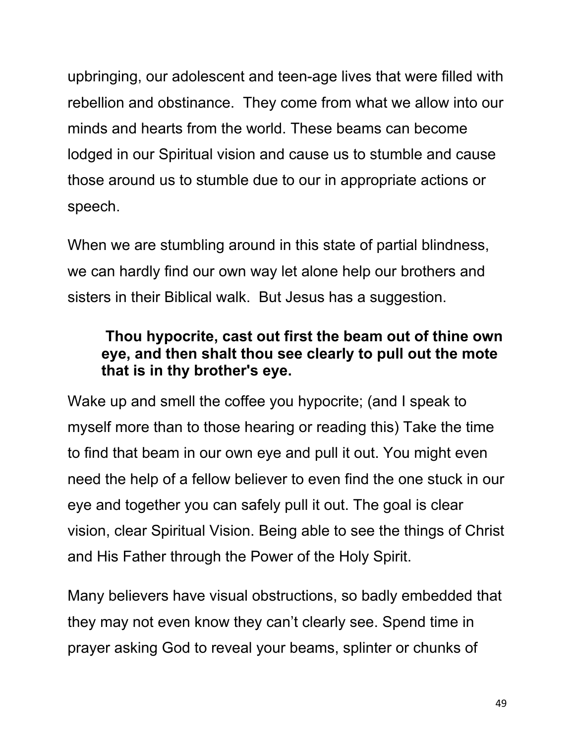upbringing, our adolescent and teen-age lives that were filled with rebellion and obstinance. They come from what we allow into our minds and hearts from the world. These beams can become lodged in our Spiritual vision and cause us to stumble and cause those around us to stumble due to our in appropriate actions or speech.

When we are stumbling around in this state of partial blindness, we can hardly find our own way let alone help our brothers and sisters in their Biblical walk. But Jesus has a suggestion.

## **Thou hypocrite, cast out first the beam out of thine own eye, and then shalt thou see clearly to pull out the mote that is in thy brother's eye.**

Wake up and smell the coffee you hypocrite; (and I speak to myself more than to those hearing or reading this) Take the time to find that beam in our own eye and pull it out. You might even need the help of a fellow believer to even find the one stuck in our eye and together you can safely pull it out. The goal is clear vision, clear Spiritual Vision. Being able to see the things of Christ and His Father through the Power of the Holy Spirit.

Many believers have visual obstructions, so badly embedded that they may not even know they can't clearly see. Spend time in prayer asking God to reveal your beams, splinter or chunks of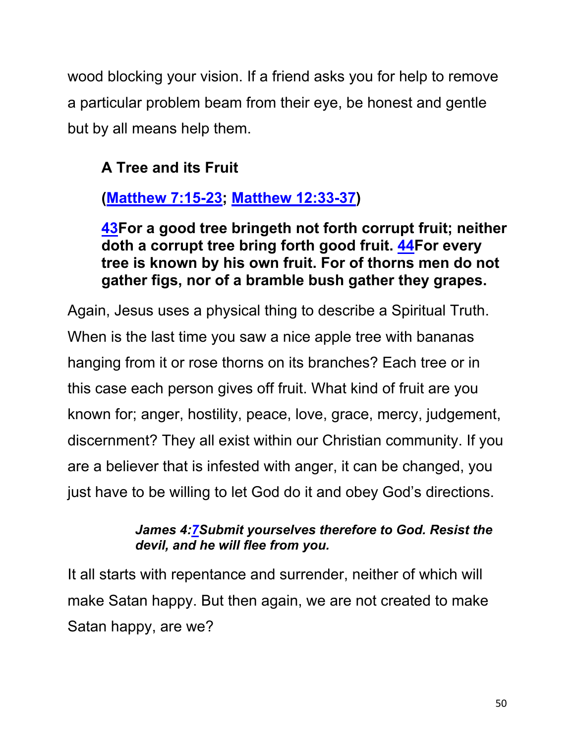wood blocking your vision. If a friend asks you for help to remove a particular problem beam from their eye, be honest and gentle but by all means help them.

# **A Tree and its Fruit**

# **(Matthew 7:15-23; Matthew 12:33-37)**

**43For a good tree bringeth not forth corrupt fruit; neither doth a corrupt tree bring forth good fruit. 44For every tree is known by his own fruit. For of thorns men do not gather figs, nor of a bramble bush gather they grapes.**

Again, Jesus uses a physical thing to describe a Spiritual Truth. When is the last time you saw a nice apple tree with bananas hanging from it or rose thorns on its branches? Each tree or in this case each person gives off fruit. What kind of fruit are you known for; anger, hostility, peace, love, grace, mercy, judgement, discernment? They all exist within our Christian community. If you are a believer that is infested with anger, it can be changed, you just have to be willing to let God do it and obey God's directions.

#### *James 4:7Submit yourselves therefore to God. Resist the devil, and he will flee from you.*

It all starts with repentance and surrender, neither of which will make Satan happy. But then again, we are not created to make Satan happy, are we?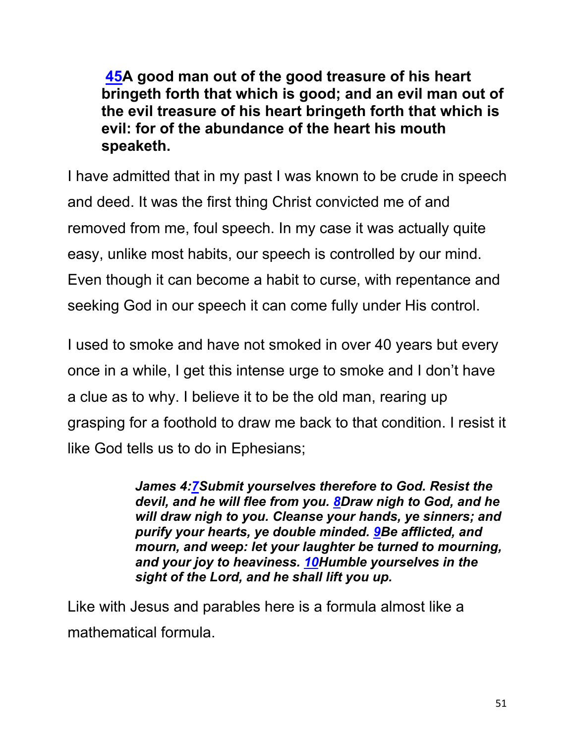**45A good man out of the good treasure of his heart bringeth forth that which is good; and an evil man out of the evil treasure of his heart bringeth forth that which is evil: for of the abundance of the heart his mouth speaketh.**

I have admitted that in my past I was known to be crude in speech and deed. It was the first thing Christ convicted me of and removed from me, foul speech. In my case it was actually quite easy, unlike most habits, our speech is controlled by our mind. Even though it can become a habit to curse, with repentance and seeking God in our speech it can come fully under His control.

I used to smoke and have not smoked in over 40 years but every once in a while, I get this intense urge to smoke and I don't have a clue as to why. I believe it to be the old man, rearing up grasping for a foothold to draw me back to that condition. I resist it like God tells us to do in Ephesians;

> *James 4:7Submit yourselves therefore to God. Resist the devil, and he will flee from you. 8Draw nigh to God, and he will draw nigh to you. Cleanse your hands, ye sinners; and purify your hearts, ye double minded. 9Be afflicted, and mourn, and weep: let your laughter be turned to mourning, and your joy to heaviness. 10Humble yourselves in the sight of the Lord, and he shall lift you up.*

Like with Jesus and parables here is a formula almost like a mathematical formula.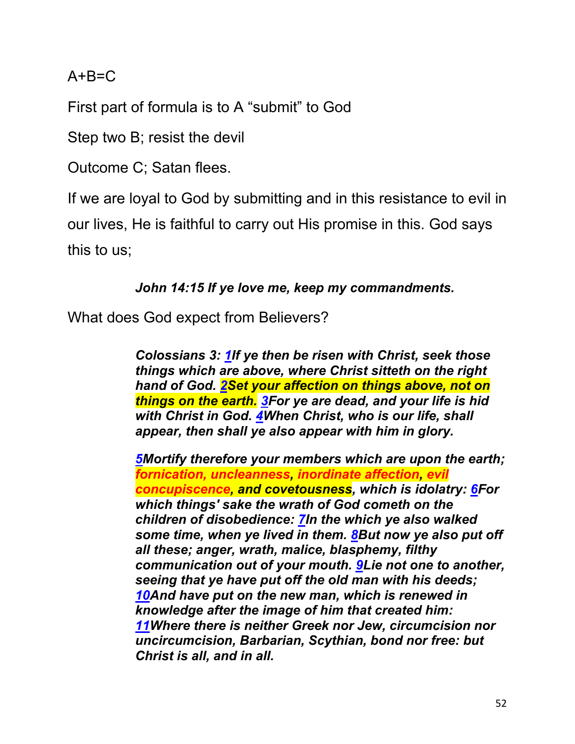#### $A + B = C$

First part of formula is to A "submit" to God

Step two B; resist the devil

Outcome C; Satan flees.

If we are loyal to God by submitting and in this resistance to evil in our lives, He is faithful to carry out His promise in this. God says this to us;

#### *John 14:15 If ye love me, keep my commandments.*

What does God expect from Believers?

*Colossians 3: 1If ye then be risen with Christ, seek those things which are above, where Christ sitteth on the right hand of God. 2Set your affection on things above, not on things on the earth. 3For ye are dead, and your life is hid with Christ in God. 4When Christ, who is our life, shall appear, then shall ye also appear with him in glory.*

*5Mortify therefore your members which are upon the earth; fornication, uncleanness, inordinate affection, evil concupiscence, and covetousness, which is idolatry: 6For which things' sake the wrath of God cometh on the children of disobedience: 7In the which ye also walked some time, when ye lived in them. 8But now ye also put off all these; anger, wrath, malice, blasphemy, filthy communication out of your mouth. 9Lie not one to another, seeing that ye have put off the old man with his deeds; 10And have put on the new man, which is renewed in knowledge after the image of him that created him: 11Where there is neither Greek nor Jew, circumcision nor uncircumcision, Barbarian, Scythian, bond nor free: but Christ is all, and in all.*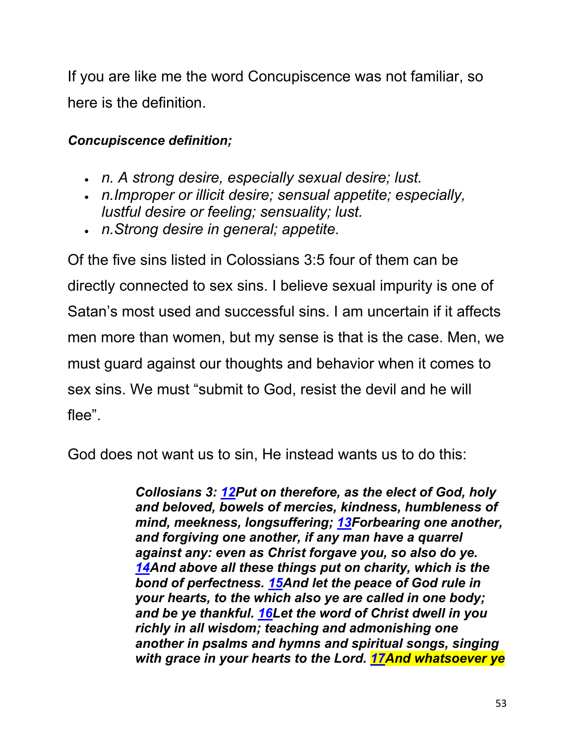If you are like me the word Concupiscence was not familiar, so here is the definition.

#### *Concupiscence definition;*

- *n. A strong desire, especially sexual desire; lust.*
- *n.Improper or illicit desire; sensual appetite; especially, lustful desire or feeling; sensuality; lust.*
- *n.Strong desire in general; appetite.*

Of the five sins listed in Colossians 3:5 four of them can be directly connected to sex sins. I believe sexual impurity is one of Satan's most used and successful sins. I am uncertain if it affects men more than women, but my sense is that is the case. Men, we must guard against our thoughts and behavior when it comes to sex sins. We must "submit to God, resist the devil and he will flee".

God does not want us to sin, He instead wants us to do this:

*Collosians 3: 12Put on therefore, as the elect of God, holy and beloved, bowels of mercies, kindness, humbleness of mind, meekness, longsuffering; 13Forbearing one another, and forgiving one another, if any man have a quarrel against any: even as Christ forgave you, so also do ye. 14And above all these things put on charity, which is the bond of perfectness. 15And let the peace of God rule in your hearts, to the which also ye are called in one body; and be ye thankful. 16Let the word of Christ dwell in you richly in all wisdom; teaching and admonishing one another in psalms and hymns and spiritual songs, singing with grace in your hearts to the Lord. 17And whatsoever ye*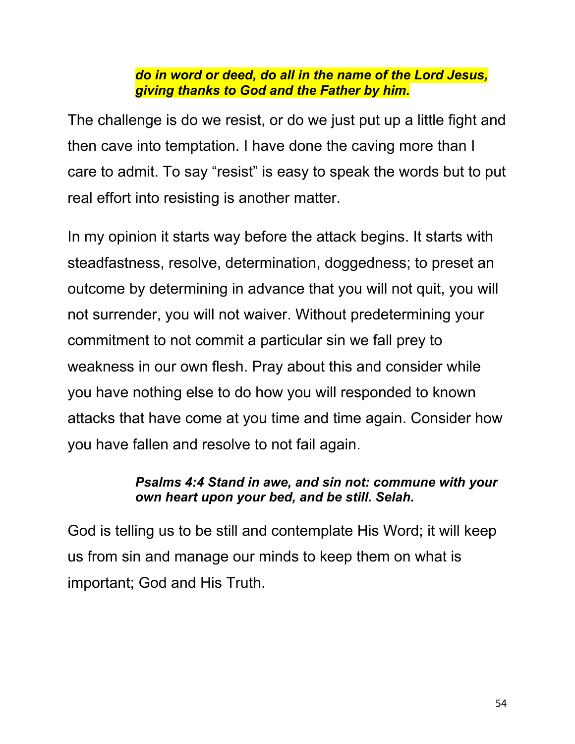#### *do in word or deed, do all in the name of the Lord Jesus, giving thanks to God and the Father by him.*

The challenge is do we resist, or do we just put up a little fight and then cave into temptation. I have done the caving more than I care to admit. To say "resist" is easy to speak the words but to put real effort into resisting is another matter.

In my opinion it starts way before the attack begins. It starts with steadfastness, resolve, determination, doggedness; to preset an outcome by determining in advance that you will not quit, you will not surrender, you will not waiver. Without predetermining your commitment to not commit a particular sin we fall prey to weakness in our own flesh. Pray about this and consider while you have nothing else to do how you will responded to known attacks that have come at you time and time again. Consider how you have fallen and resolve to not fail again.

#### *Psalms 4:4 Stand in awe, and sin not: commune with your own heart upon your bed, and be still. Selah.*

God is telling us to be still and contemplate His Word; it will keep us from sin and manage our minds to keep them on what is important; God and His Truth.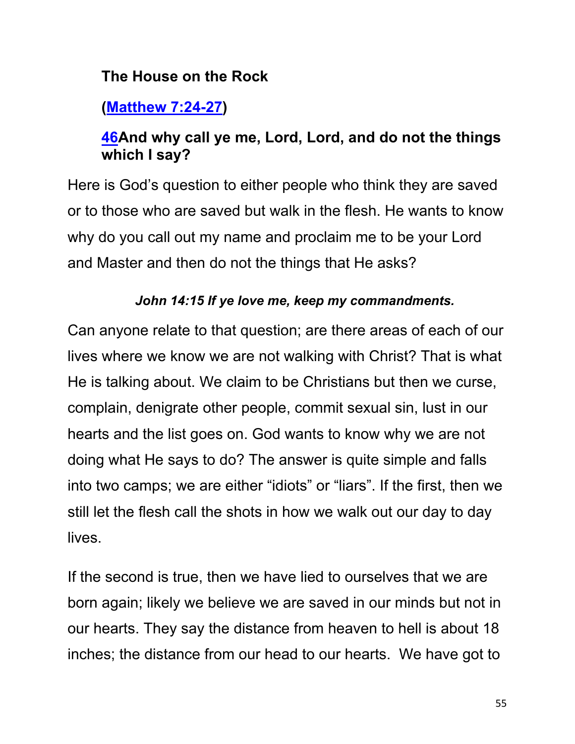#### **The House on the Rock**

# **(Matthew 7:24-27)**

## **46And why call ye me, Lord, Lord, and do not the things which I say?**

Here is God's question to either people who think they are saved or to those who are saved but walk in the flesh. He wants to know why do you call out my name and proclaim me to be your Lord and Master and then do not the things that He asks?

#### *John 14:15 If ye love me, keep my commandments.*

Can anyone relate to that question; are there areas of each of our lives where we know we are not walking with Christ? That is what He is talking about. We claim to be Christians but then we curse, complain, denigrate other people, commit sexual sin, lust in our hearts and the list goes on. God wants to know why we are not doing what He says to do? The answer is quite simple and falls into two camps; we are either "idiots" or "liars". If the first, then we still let the flesh call the shots in how we walk out our day to day lives.

If the second is true, then we have lied to ourselves that we are born again; likely we believe we are saved in our minds but not in our hearts. They say the distance from heaven to hell is about 18 inches; the distance from our head to our hearts. We have got to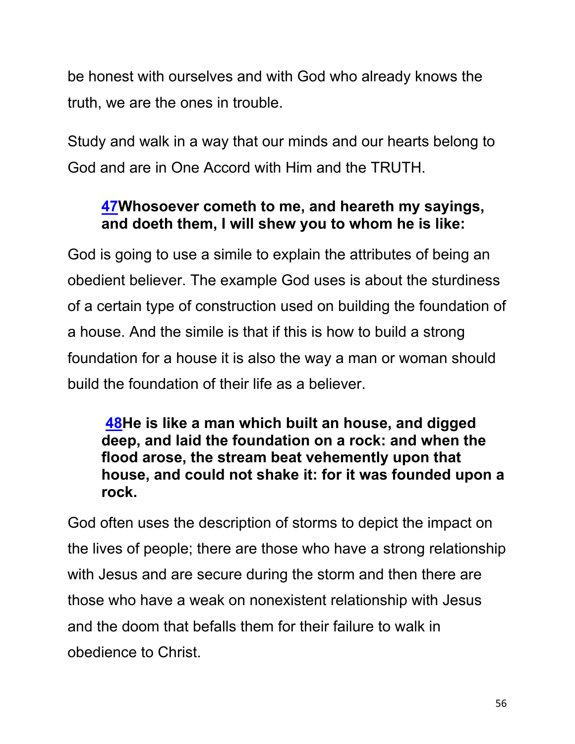be honest with ourselves and with God who already knows the truth, we are the ones in trouble.

Study and walk in a way that our minds and our hearts belong to God and are in One Accord with Him and the TRUTH.

## **47Whosoever cometh to me, and heareth my sayings, and doeth them, I will shew you to whom he is like:**

God is going to use a simile to explain the attributes of being an obedient believer. The example God uses is about the sturdiness of a certain type of construction used on building the foundation of a house. And the simile is that if this is how to build a strong foundation for a house it is also the way a man or woman should build the foundation of their life as a believer.

#### **48He is like a man which built an house, and digged deep, and laid the foundation on a rock: and when the flood arose, the stream beat vehemently upon that house, and could not shake it: for it was founded upon a rock.**

God often uses the description of storms to depict the impact on the lives of people; there are those who have a strong relationship with Jesus and are secure during the storm and then there are those who have a weak on nonexistent relationship with Jesus and the doom that befalls them for their failure to walk in obedience to Christ.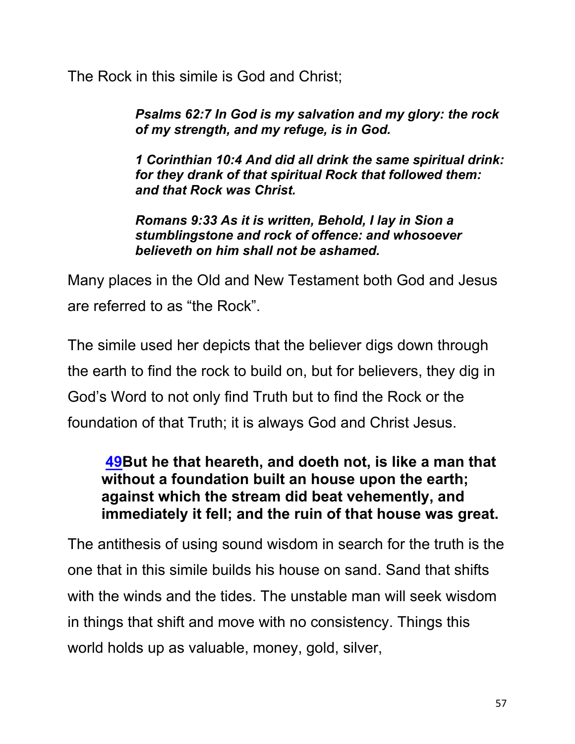The Rock in this simile is God and Christ;

*Psalms 62:7 In God is my salvation and my glory: the rock of my strength, and my refuge, is in God.*

*1 Corinthian 10:4 And did all drink the same spiritual drink: for they drank of that spiritual Rock that followed them: and that Rock was Christ.*

*Romans 9:33 As it is written, Behold, I lay in Sion a stumblingstone and rock of offence: and whosoever believeth on him shall not be ashamed.*

Many places in the Old and New Testament both God and Jesus are referred to as "the Rock".

The simile used her depicts that the believer digs down through the earth to find the rock to build on, but for believers, they dig in God's Word to not only find Truth but to find the Rock or the foundation of that Truth; it is always God and Christ Jesus.

#### **49But he that heareth, and doeth not, is like a man that without a foundation built an house upon the earth; against which the stream did beat vehemently, and immediately it fell; and the ruin of that house was great.**

The antithesis of using sound wisdom in search for the truth is the one that in this simile builds his house on sand. Sand that shifts with the winds and the tides. The unstable man will seek wisdom in things that shift and move with no consistency. Things this world holds up as valuable, money, gold, silver,